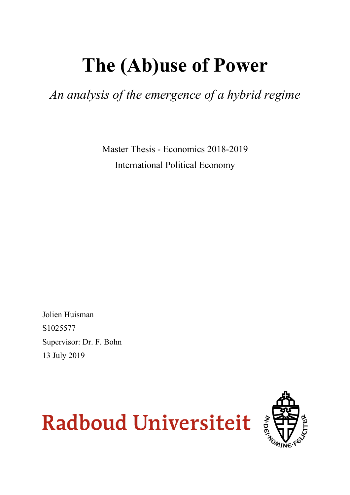# **The (Ab)use of Power**

*An analysis of the emergence of a hybrid regime*

Master Thesis - Economics 2018-2019 International Political Economy

Jolien Huisman S1025577 Supervisor: Dr. F. Bohn 13 July 2019



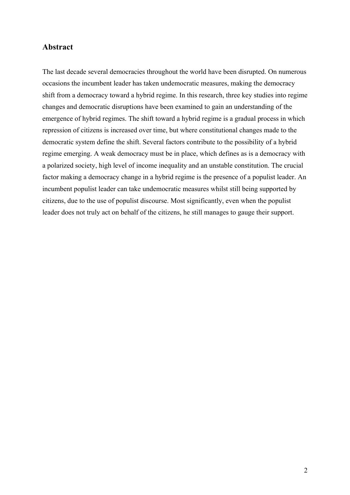## **Abstract**

The last decade several democracies throughout the world have been disrupted. On numerous occasions the incumbent leader has taken undemocratic measures, making the democracy shift from a democracy toward a hybrid regime. In this research, three key studies into regime changes and democratic disruptions have been examined to gain an understanding of the emergence of hybrid regimes. The shift toward a hybrid regime is a gradual process in which repression of citizens is increased over time, but where constitutional changes made to the democratic system define the shift. Several factors contribute to the possibility of a hybrid regime emerging. A weak democracy must be in place, which defines as is a democracy with a polarized society, high level of income inequality and an unstable constitution. The crucial factor making a democracy change in a hybrid regime is the presence of a populist leader. An incumbent populist leader can take undemocratic measures whilst still being supported by citizens, due to the use of populist discourse. Most significantly, even when the populist leader does not truly act on behalf of the citizens, he still manages to gauge their support.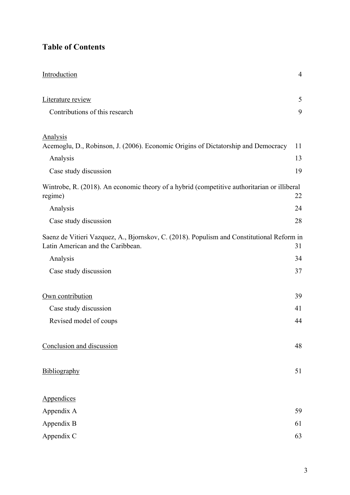# **Table of Contents**

| Introduction                                                                                                                   | $\overline{4}$ |
|--------------------------------------------------------------------------------------------------------------------------------|----------------|
| Literature review                                                                                                              | 5              |
| Contributions of this research                                                                                                 | 9              |
| <b>Analysis</b>                                                                                                                |                |
| Acemoglu, D., Robinson, J. (2006). Economic Origins of Dictatorship and Democracy                                              | 11             |
| Analysis                                                                                                                       | 13             |
| Case study discussion                                                                                                          | 19             |
| Wintrobe, R. (2018). An economic theory of a hybrid (competitive authoritarian or illiberal<br>regime)                         | 22             |
| Analysis                                                                                                                       | 24             |
| Case study discussion                                                                                                          | 28             |
| Saenz de Vitieri Vazquez, A., Bjornskov, C. (2018). Populism and Constitutional Reform in<br>Latin American and the Caribbean. | 31             |
| Analysis                                                                                                                       | 34             |
| Case study discussion                                                                                                          | 37             |
| Own contribution                                                                                                               | 39             |
| Case study discussion                                                                                                          | 41             |
| Revised model of coups                                                                                                         | 44             |
| Conclusion and discussion                                                                                                      | 48             |
| Bibliography                                                                                                                   | 51             |
| Appendices                                                                                                                     |                |
| Appendix A                                                                                                                     | 59             |
| Appendix B                                                                                                                     | 61             |
| Appendix C                                                                                                                     | 63             |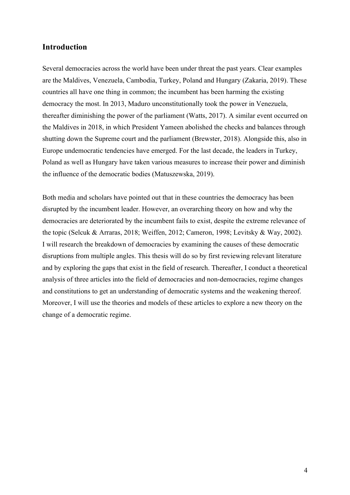# **Introduction**

Several democracies across the world have been under threat the past years. Clear examples are the Maldives, Venezuela, Cambodia, Turkey, Poland and Hungary (Zakaria, 2019). These countries all have one thing in common; the incumbent has been harming the existing democracy the most. In 2013, Maduro unconstitutionally took the power in Venezuela, thereafter diminishing the power of the parliament (Watts, 2017). A similar event occurred on the Maldives in 2018, in which President Yameen abolished the checks and balances through shutting down the Supreme court and the parliament (Brewster, 2018). Alongside this, also in Europe undemocratic tendencies have emerged. For the last decade, the leaders in Turkey, Poland as well as Hungary have taken various measures to increase their power and diminish the influence of the democratic bodies (Matuszewska, 2019).

Both media and scholars have pointed out that in these countries the democracy has been disrupted by the incumbent leader. However, an overarching theory on how and why the democracies are deteriorated by the incumbent fails to exist, despite the extreme relevance of the topic (Selcuk & Arraras, 2018; Weiffen, 2012; Cameron, 1998; Levitsky & Way, 2002). I will research the breakdown of democracies by examining the causes of these democratic disruptions from multiple angles. This thesis will do so by first reviewing relevant literature and by exploring the gaps that exist in the field of research. Thereafter, I conduct a theoretical analysis of three articles into the field of democracies and non-democracies, regime changes and constitutions to get an understanding of democratic systems and the weakening thereof. Moreover, I will use the theories and models of these articles to explore a new theory on the change of a democratic regime.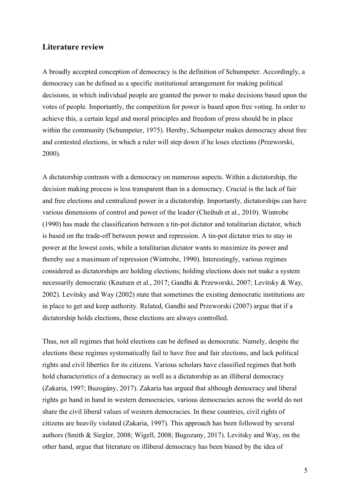## **Literature review**

A broadly accepted conception of democracy is the definition of Schumpeter. Accordingly, a democracy can be defined as a specific institutional arrangement for making political decisions, in which individual people are granted the power to make decisions based upon the votes of people. Importantly, the competition for power is based upon free voting. In order to achieve this, a certain legal and moral principles and freedom of press should be in place within the community (Schumpeter, 1975). Hereby, Schumpeter makes democracy about free and contested elections, in which a ruler will step down if he loses elections (Przeworski, 2000).

A dictatorship contrasts with a democracy on numerous aspects. Within a dictatorship, the decision making process is less transparent than in a democracy. Crucial is the lack of fair and free elections and centralized power in a dictatorship. Importantly, dictatorships can have various dimensions of control and power of the leader (Cheihub et al., 2010). Wintrobe (1990) has made the classification between a tin-pot dictator and totalitarian dictator, which is based on the trade-off between power and repression. A tin-pot dictator tries to stay in power at the lowest costs, while a totalitarian dictator wants to maximize its power and thereby use a maximum of repression (Wintrobe, 1990). Interestingly, various regimes considered as dictatorships are holding elections; holding elections does not make a system necessarily democratic (Knutsen et al., 2017; Gandhi & Przeworski, 2007; Levitsky & Way, 2002). Levitsky and Way (2002) state that sometimes the existing democratic institutions are in place to get and keep authority. Related, Gandhi and Przeworski (2007) argue that if a dictatorship holds elections, these elections are always controlled.

Thus, not all regimes that hold elections can be defined as democratic. Namely, despite the elections these regimes systematically fail to have free and fair elections, and lack political rights and civil liberties for its citizens. Various scholars have classified regimes that both hold characteristics of a democracy as well as a dictatorship as an illiberal democracy (Zakaria, 1997; Buzogány, 2017). Zakaria has argued that although democracy and liberal rights go hand in hand in western democracies, various democracies across the world do not share the civil liberal values of western democracies. In these countries, civil rights of citizens are heavily violated (Zakaria, 1997). This approach has been followed by several authors (Smith & Siegler, 2008; Wigell, 2008; Bugozany, 2017). Levitsky and Way, on the other hand, argue that literature on illiberal democracy has been biased by the idea of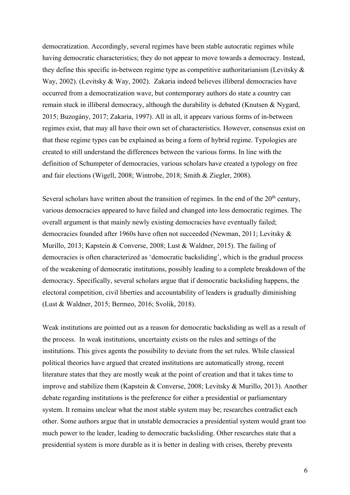democratization. Accordingly, several regimes have been stable autocratic regimes while having democratic characteristics; they do not appear to move towards a democracy. Instead, they define this specific in-between regime type as competitive authoritarianism (Levitsky & Way, 2002). (Levitsky & Way, 2002). Zakaria indeed believes illiberal democracies have occurred from a democratization wave, but contemporary authors do state a country can remain stuck in illiberal democracy, although the durability is debated (Knutsen & Nygard, 2015; Buzogány, 2017; Zakaria, 1997). All in all, it appears various forms of in-between regimes exist, that may all have their own set of characteristics. However, consensus exist on that these regime types can be explained as being a form of hybrid regime. Typologies are created to still understand the differences between the various forms. In line with the definition of Schumpeter of democracies, various scholars have created a typology on free and fair elections (Wigell, 2008; Wintrobe, 2018; Smith & Ziegler, 2008).

Several scholars have written about the transition of regimes. In the end of the  $20<sup>th</sup>$  century, various democracies appeared to have failed and changed into less democratic regimes. The overall argument is that mainly newly existing democracies have eventually failed; democracies founded after 1960s have often not succeeded (Newman, 2011; Levitsky & Murillo, 2013; Kapstein & Converse, 2008; Lust & Waldner, 2015). The failing of democracies is often characterized as 'democratic backsliding', which is the gradual process of the weakening of democratic institutions, possibly leading to a complete breakdown of the democracy. Specifically, several scholars argue that if democratic backsliding happens, the electoral competition, civil liberties and accountability of leaders is gradually diminishing (Lust & Waldner, 2015; Bermeo, 2016; Svolik, 2018).

Weak institutions are pointed out as a reason for democratic backsliding as well as a result of the process. In weak institutions, uncertainty exists on the rules and settings of the institutions. This gives agents the possibility to deviate from the set rules. While classical political theories have argued that created institutions are automatically strong, recent literature states that they are mostly weak at the point of creation and that it takes time to improve and stabilize them (Kapstein & Converse, 2008; Levitsky & Murillo, 2013). Another debate regarding institutions is the preference for either a presidential or parliamentary system. It remains unclear what the most stable system may be; researches contradict each other. Some authors argue that in unstable democracies a presidential system would grant too much power to the leader, leading to democratic backsliding. Other researches state that a presidential system is more durable as it is better in dealing with crises, thereby prevents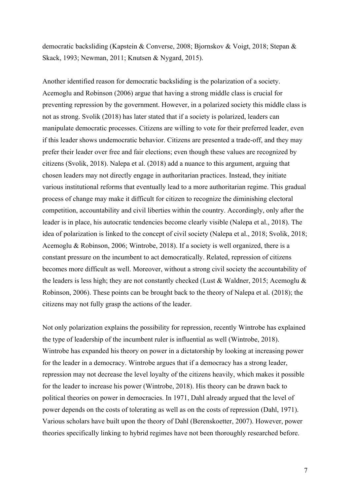democratic backsliding (Kapstein & Converse, 2008; Bjornskov & Voigt, 2018; Stepan & Skack, 1993; Newman, 2011; Knutsen & Nygard, 2015).

Another identified reason for democratic backsliding is the polarization of a society. Acemoglu and Robinson (2006) argue that having a strong middle class is crucial for preventing repression by the government. However, in a polarized society this middle class is not as strong. Svolik (2018) has later stated that if a society is polarized, leaders can manipulate democratic processes. Citizens are willing to vote for their preferred leader, even if this leader shows undemocratic behavior. Citizens are presented a trade-off, and they may prefer their leader over free and fair elections; even though these values are recognized by citizens (Svolik, 2018). Nalepa et al. (2018) add a nuance to this argument, arguing that chosen leaders may not directly engage in authoritarian practices. Instead, they initiate various institutional reforms that eventually lead to a more authoritarian regime. This gradual process of change may make it difficult for citizen to recognize the diminishing electoral competition, accountability and civil liberties within the country. Accordingly, only after the leader is in place, his autocratic tendencies become clearly visible (Nalepa et al., 2018). The idea of polarization is linked to the concept of civil society (Nalepa et al., 2018; Svolik, 2018; Acemoglu & Robinson, 2006; Wintrobe, 2018). If a society is well organized, there is a constant pressure on the incumbent to act democratically. Related, repression of citizens becomes more difficult as well. Moreover, without a strong civil society the accountability of the leaders is less high; they are not constantly checked (Lust & Waldner, 2015; Acemoglu & Robinson, 2006). These points can be brought back to the theory of Nalepa et al. (2018); the citizens may not fully grasp the actions of the leader.

Not only polarization explains the possibility for repression, recently Wintrobe has explained the type of leadership of the incumbent ruler is influential as well (Wintrobe, 2018). Wintrobe has expanded his theory on power in a dictatorship by looking at increasing power for the leader in a democracy. Wintrobe argues that if a democracy has a strong leader, repression may not decrease the level loyalty of the citizens heavily, which makes it possible for the leader to increase his power (Wintrobe, 2018). His theory can be drawn back to political theories on power in democracies. In 1971, Dahl already argued that the level of power depends on the costs of tolerating as well as on the costs of repression (Dahl, 1971). Various scholars have built upon the theory of Dahl (Berenskoetter, 2007). However, power theories specifically linking to hybrid regimes have not been thoroughly researched before.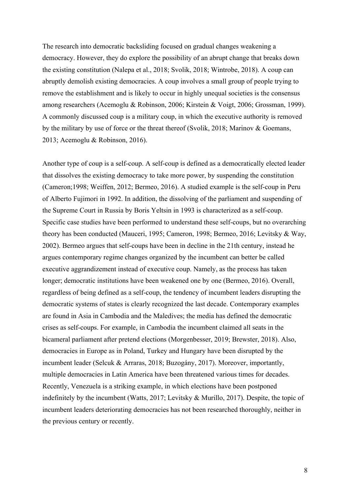The research into democratic backsliding focused on gradual changes weakening a democracy. However, they do explore the possibility of an abrupt change that breaks down the existing constitution (Nalepa et al., 2018; Svolik, 2018; Wintrobe, 2018). A coup can abruptly demolish existing democracies. A coup involves a small group of people trying to remove the establishment and is likely to occur in highly unequal societies is the consensus among researchers (Acemoglu & Robinson, 2006; Kirstein & Voigt, 2006; Grossman, 1999). A commonly discussed coup is a military coup, in which the executive authority is removed by the military by use of force or the threat thereof (Svolik, 2018; Marinov & Goemans, 2013; Acemoglu & Robinson, 2016).

Another type of coup is a self-coup. A self-coup is defined as a democratically elected leader that dissolves the existing democracy to take more power, by suspending the constitution (Cameron;1998; Weiffen, 2012; Bermeo, 2016). A studied example is the self-coup in Peru of Alberto Fujimori in 1992. In addition, the dissolving of the parliament and suspending of the Supreme Court in Russia by Boris Yeltsin in 1993 is characterized as a self-coup. Specific case studies have been performed to understand these self-coups, but no overarching theory has been conducted (Mauceri, 1995; Cameron, 1998; Bermeo, 2016; Levitsky & Way, 2002). Bermeo argues that self-coups have been in decline in the 21th century, instead he argues contemporary regime changes organized by the incumbent can better be called executive aggrandizement instead of executive coup. Namely, as the process has taken longer; democratic institutions have been weakened one by one (Bermeo, 2016). Overall, regardless of being defined as a self-coup, the tendency of incumbent leaders disrupting the democratic systems of states is clearly recognized the last decade. Contemporary examples are found in Asia in Cambodia and the Maledives; the media has defined the democratic crises as self-coups. For example, in Cambodia the incumbent claimed all seats in the bicameral parliament after pretend elections (Morgenbesser, 2019; Brewster, 2018). Also, democracies in Europe as in Poland, Turkey and Hungary have been disrupted by the incumbent leader (Selcuk & Arraras, 2018; Buzogány, 2017). Moreover, importantly, multiple democracies in Latin America have been threatened various times for decades. Recently, Venezuela is a striking example, in which elections have been postponed indefinitely by the incumbent (Watts, 2017; Levitsky & Murillo, 2017). Despite, the topic of incumbent leaders deteriorating democracies has not been researched thoroughly, neither in the previous century or recently.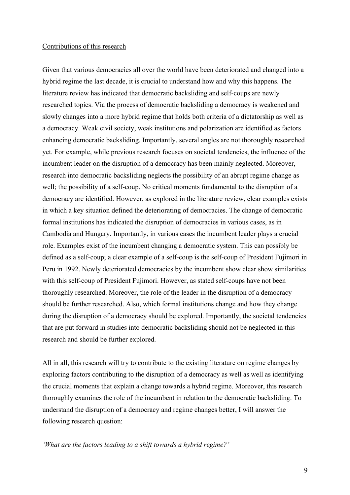#### Contributions of this research

Given that various democracies all over the world have been deteriorated and changed into a hybrid regime the last decade, it is crucial to understand how and why this happens. The literature review has indicated that democratic backsliding and self-coups are newly researched topics. Via the process of democratic backsliding a democracy is weakened and slowly changes into a more hybrid regime that holds both criteria of a dictatorship as well as a democracy. Weak civil society, weak institutions and polarization are identified as factors enhancing democratic backsliding. Importantly, several angles are not thoroughly researched yet. For example, while previous research focuses on societal tendencies, the influence of the incumbent leader on the disruption of a democracy has been mainly neglected. Moreover, research into democratic backsliding neglects the possibility of an abrupt regime change as well; the possibility of a self-coup. No critical moments fundamental to the disruption of a democracy are identified. However, as explored in the literature review, clear examples exists in which a key situation defined the deteriorating of democracies. The change of democratic formal institutions has indicated the disruption of democracies in various cases, as in Cambodia and Hungary. Importantly, in various cases the incumbent leader plays a crucial role. Examples exist of the incumbent changing a democratic system. This can possibly be defined as a self-coup; a clear example of a self-coup is the self-coup of President Fujimori in Peru in 1992. Newly deteriorated democracies by the incumbent show clear show similarities with this self-coup of President Fujimori. However, as stated self-coups have not been thoroughly researched. Moreover, the role of the leader in the disruption of a democracy should be further researched. Also, which formal institutions change and how they change during the disruption of a democracy should be explored. Importantly, the societal tendencies that are put forward in studies into democratic backsliding should not be neglected in this research and should be further explored.

All in all, this research will try to contribute to the existing literature on regime changes by exploring factors contributing to the disruption of a democracy as well as well as identifying the crucial moments that explain a change towards a hybrid regime. Moreover, this research thoroughly examines the role of the incumbent in relation to the democratic backsliding. To understand the disruption of a democracy and regime changes better, I will answer the following research question:

*'What are the factors leading to a shift towards a hybrid regime?'*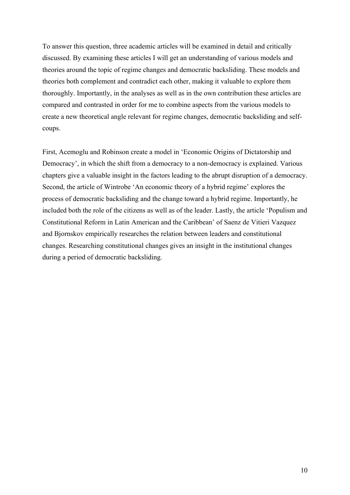To answer this question, three academic articles will be examined in detail and critically discussed. By examining these articles I will get an understanding of various models and theories around the topic of regime changes and democratic backsliding. These models and theories both complement and contradict each other, making it valuable to explore them thoroughly. Importantly, in the analyses as well as in the own contribution these articles are compared and contrasted in order for me to combine aspects from the various models to create a new theoretical angle relevant for regime changes, democratic backsliding and selfcoups.

First, Acemoglu and Robinson create a model in 'Economic Origins of Dictatorship and Democracy', in which the shift from a democracy to a non-democracy is explained. Various chapters give a valuable insight in the factors leading to the abrupt disruption of a democracy. Second, the article of Wintrobe 'An economic theory of a hybrid regime' explores the process of democratic backsliding and the change toward a hybrid regime. Importantly, he included both the role of the citizens as well as of the leader. Lastly, the article 'Populism and Constitutional Reform in Latin American and the Caribbean' of Saenz de Vitieri Vazquez and Bjornskov empirically researches the relation between leaders and constitutional changes. Researching constitutional changes gives an insight in the institutional changes during a period of democratic backsliding.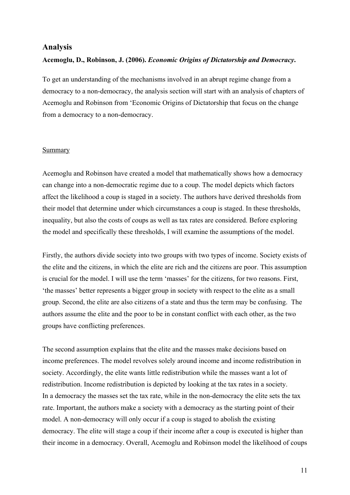## **Analysis**

## **Acemoglu, D., Robinson, J. (2006).** *Economic Origins of Dictatorship and Democracy***.**

To get an understanding of the mechanisms involved in an abrupt regime change from a democracy to a non-democracy, the analysis section will start with an analysis of chapters of Acemoglu and Robinson from 'Economic Origins of Dictatorship that focus on the change from a democracy to a non-democracy.

#### Summary

Acemoglu and Robinson have created a model that mathematically shows how a democracy can change into a non-democratic regime due to a coup. The model depicts which factors affect the likelihood a coup is staged in a society. The authors have derived thresholds from their model that determine under which circumstances a coup is staged. In these thresholds, inequality, but also the costs of coups as well as tax rates are considered. Before exploring the model and specifically these thresholds, I will examine the assumptions of the model.

Firstly, the authors divide society into two groups with two types of income. Society exists of the elite and the citizens, in which the elite are rich and the citizens are poor. This assumption is crucial for the model. I will use the term 'masses' for the citizens, for two reasons. First, 'the masses' better represents a bigger group in society with respect to the elite as a small group. Second, the elite are also citizens of a state and thus the term may be confusing. The authors assume the elite and the poor to be in constant conflict with each other, as the two groups have conflicting preferences.

The second assumption explains that the elite and the masses make decisions based on income preferences. The model revolves solely around income and income redistribution in society. Accordingly, the elite wants little redistribution while the masses want a lot of redistribution. Income redistribution is depicted by looking at the tax rates in a society. In a democracy the masses set the tax rate, while in the non-democracy the elite sets the tax rate. Important, the authors make a society with a democracy as the starting point of their model. A non-democracy will only occur if a coup is staged to abolish the existing democracy. The elite will stage a coup if their income after a coup is executed is higher than their income in a democracy. Overall, Acemoglu and Robinson model the likelihood of coups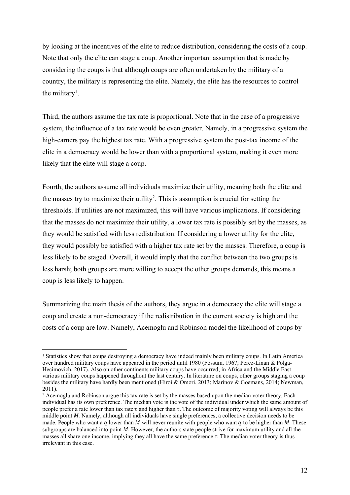by looking at the incentives of the elite to reduce distribution, considering the costs of a coup. Note that only the elite can stage a coup. Another important assumption that is made by considering the coups is that although coups are often undertaken by the military of a country, the military is representing the elite. Namely, the elite has the resources to control the military<sup>1</sup>.

Third, the authors assume the tax rate is proportional. Note that in the case of a progressive system, the influence of a tax rate would be even greater. Namely, in a progressive system the high-earners pay the highest tax rate. With a progressive system the post-tax income of the elite in a democracy would be lower than with a proportional system, making it even more likely that the elite will stage a coup.

Fourth, the authors assume all individuals maximize their utility, meaning both the elite and the masses try to maximize their utility<sup>2</sup>. This is assumption is crucial for setting the thresholds. If utilities are not maximized, this will have various implications. If considering that the masses do not maximize their utility, a lower tax rate is possibly set by the masses, as they would be satisfied with less redistribution. If considering a lower utility for the elite, they would possibly be satisfied with a higher tax rate set by the masses. Therefore, a coup is less likely to be staged. Overall, it would imply that the conflict between the two groups is less harsh; both groups are more willing to accept the other groups demands, this means a coup is less likely to happen.

Summarizing the main thesis of the authors, they argue in a democracy the elite will stage a coup and create a non-democracy if the redistribution in the current society is high and the costs of a coup are low. Namely, Acemoglu and Robinson model the likelihood of coups by

<sup>&</sup>lt;sup>1</sup> Statistics show that coups destroying a democracy have indeed mainly been military coups. In Latin America over hundred military coups have appeared in the period until 1980 (Fossum, 1967; Perez-Linan & Polga-Hecimovich, 2017). Also on other continents military coups have occurred; in Africa and the Middle East various military coups happened throughout the last century. In literature on coups, other groups staging a coup besides the military have hardly been mentioned (Hiroi & Omori, 2013; Marinov & Goemans, 2014; Newman, 2011).

<sup>&</sup>lt;sup>2</sup> Acemoglu and Robinson argue this tax rate is set by the masses based upon the median voter theory. Each individual has its own preference. The median vote is the vote of the individual under which the same amount of people prefer a rate lower than tax rate τ and higher than τ. The outcome of majority voting will always be this middle point  $M$ . Namely, although all individuals have single preferences, a collective decision needs to be made. People who want a q lower than M will never reunite with people who want q to be higher than M. These subgroups are balanced into point M. However, the authors state people strive for maximum utility and all the masses all share one income, implying they all have the same preference τ. The median voter theory is thus irrelevant in this case.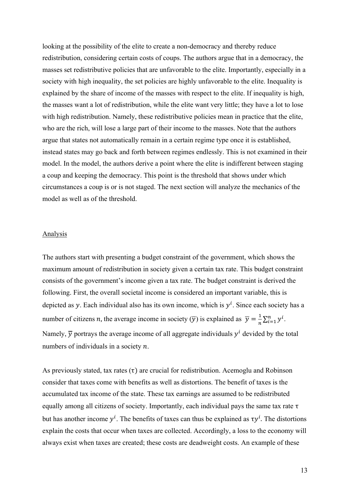looking at the possibility of the elite to create a non-democracy and thereby reduce redistribution, considering certain costs of coups. The authors argue that in a democracy, the masses set redistributive policies that are unfavorable to the elite. Importantly, especially in a society with high inequality, the set policies are highly unfavorable to the elite. Inequality is explained by the share of income of the masses with respect to the elite. If inequality is high, the masses want a lot of redistribution, while the elite want very little; they have a lot to lose with high redistribution. Namely, these redistributive policies mean in practice that the elite, who are the rich, will lose a large part of their income to the masses. Note that the authors argue that states not automatically remain in a certain regime type once it is established, instead states may go back and forth between regimes endlessly. This is not examined in their model. In the model, the authors derive a point where the elite is indifferent between staging a coup and keeping the democracy. This point is the threshold that shows under which circumstances a coup is or is not staged. The next section will analyze the mechanics of the model as well as of the threshold.

#### Analysis

The authors start with presenting a budget constraint of the government, which shows the maximum amount of redistribution in society given a certain tax rate. This budget constraint consists of the government's income given a tax rate. The budget constraint is derived the following. First, the overall societal income is considered an important variable, this is depicted as y. Each individual also has its own income, which is  $y^i$ . Since each society has a number of citizens *n*, the average income in society  $(\overline{y})$  is explained as  $\overline{y} = \frac{1}{n} \sum_{i=1}^{n} y^{i}$ . Namely,  $\overline{y}$  portrays the average income of all aggregate individuals  $y^i$  devided by the total numbers of individuals in a society  $n$ .

As previously stated, tax rates  $(\tau)$  are crucial for redistribution. Acemoglu and Robinson consider that taxes come with benefits as well as distortions. The benefit of taxes is the accumulated tax income of the state. These tax earnings are assumed to be redistributed equally among all citizens of society. Importantly, each individual pays the same tax rate τ but has another income  $y^i$ . The benefits of taxes can thus be explained as  $\tau y^i$ . The distortions explain the costs that occur when taxes are collected. Accordingly, a loss to the economy will always exist when taxes are created; these costs are deadweight costs. An example of these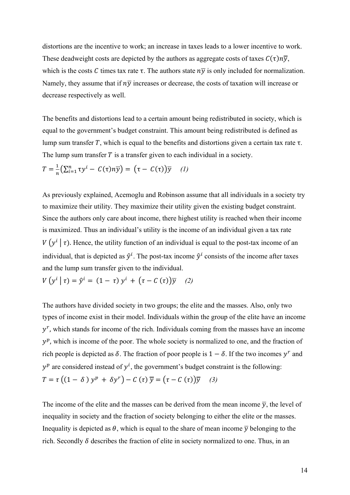distortions are the incentive to work; an increase in taxes leads to a lower incentive to work. These deadweight costs are depicted by the authors as aggregate costs of taxes  $C(\tau)n\overline{y}$ , which is the costs C times tax rate  $\tau$ . The authors state  $n\overline{y}$  is only included for normalization. Namely, they assume that if  $n\bar{v}$  increases or decrease, the costs of taxation will increase or decrease respectively as well.

The benefits and distortions lead to a certain amount being redistributed in society, which is equal to the government's budget constraint. This amount being redistributed is defined as lump sum transfer T, which is equal to the benefits and distortions given a certain tax rate  $\tau$ . The lump sum transfer  $T$  is a transfer given to each individual in a society.

$$
T = \frac{1}{n} \left( \sum_{i=1}^{n} \tau y^{i} - C(\tau) n \overline{y} \right) = \left( \tau - C(\tau) \right) \overline{y} \quad (1)
$$

As previously explained, Acemoglu and Robinson assume that all individuals in a society try to maximize their utility. They maximize their utility given the existing budget constraint. Since the authors only care about income, there highest utility is reached when their income is maximized. Thus an individual's utility is the income of an individual given a tax rate  $V(y^i | \tau)$ . Hence, the utility function of an individual is equal to the post-tax income of an individual, that is depicted as  $\hat{y}^i$ . The post-tax income  $\hat{y}^i$  consists of the income after taxes and the lump sum transfer given to the individual.

$$
V(y^{i} | \tau) = \hat{y}^{i} = (1 - \tau) y^{i} + (\tau - C(\tau)) \overline{y}
$$
 (2)

The authors have divided society in two groups; the elite and the masses. Also, only two types of income exist in their model. Individuals within the group of the elite have an income  $y<sup>r</sup>$ , which stands for income of the rich. Individuals coming from the masses have an income  $y^p$ , which is income of the poor. The whole society is normalized to one, and the fraction of rich people is depicted as  $\delta$ . The fraction of poor people is  $1 - \delta$ . If the two incomes y<sup>r</sup> and  $y^p$  are considered instead of  $y^i$ , the government's budget constraint is the following:  $T = \tau ((1 - \delta) y^{p} + \delta y^{r}) - C (\tau) \overline{y} = (\tau - C (\tau)) \overline{y}$  (3)

The income of the elite and the masses can be derived from the mean income  $\overline{y}$ , the level of inequality in society and the fraction of society belonging to either the elite or the masses. Inequality is depicted as  $\theta$ , which is equal to the share of mean income  $\overline{y}$  belonging to the rich. Secondly  $\delta$  describes the fraction of elite in society normalized to one. Thus, in an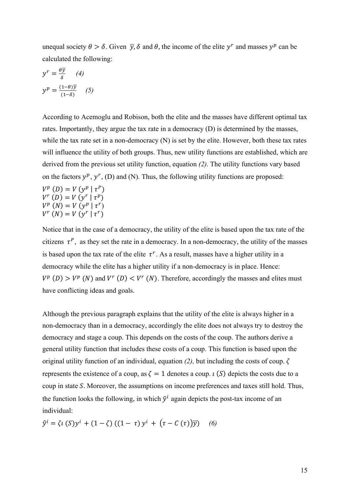unequal society  $\theta > \delta$ . Given  $\bar{y}$ ,  $\delta$  and  $\theta$ , the income of the elite  $y^r$  and masses  $y^p$  can be calculated the following:

$$
y^{r} = \frac{\theta \overline{y}}{\delta} \qquad (4)
$$

$$
y^{p} = \frac{(1-\theta)\overline{y}}{(1-\delta)} \qquad (5)
$$

According to Acemoglu and Robison, both the elite and the masses have different optimal tax rates. Importantly, they argue the tax rate in a democracy (D) is determined by the masses, while the tax rate set in a non-democracy (N) is set by the elite. However, both these tax rates will influence the utility of both groups. Thus, new utility functions are established, which are derived from the previous set utility function, equation *(2).* The utility functions vary based on the factors  $y^p$ ,  $y^r$ , (D) and (N). Thus, the following utility functions are proposed:

$$
V^{p}(D) = V(y^{p} | \tau^{p})
$$
  
\n
$$
V^{r}(D) = V(y^{r} | \tau^{p})
$$
  
\n
$$
V^{p}(N) = V(y^{p} | \tau^{r})
$$
  
\n
$$
V^{r}(N) = V(y^{r} | \tau^{r})
$$

Notice that in the case of a democracy, the utility of the elite is based upon the tax rate of the citizens  $\tau^P$ , as they set the rate in a democracy. In a non-democracy, the utility of the masses is based upon the tax rate of the elite  $\tau^r$ . As a result, masses have a higher utility in a democracy while the elite has a higher utility if a non-democracy is in place. Hence:  $V^p(D) > V^p(N)$  and  $V^r(D) < V^r(N)$ . Therefore, accordingly the masses and elites must have conflicting ideas and goals.

Although the previous paragraph explains that the utility of the elite is always higher in a non-democracy than in a democracy, accordingly the elite does not always try to destroy the democracy and stage a coup. This depends on the costs of the coup. The authors derive a general utility function that includes these costs of a coup. This function is based upon the original utility function of an individual, equation  $(2)$ , but including the costs of coup.  $\zeta$ represents the existence of a coup, as  $\zeta = 1$  denotes a coup.  $\iota(S)$  depicts the costs due to a coup in state  $S$ . Moreover, the assumptions on income preferences and taxes still hold. Thus, the function looks the following, in which  $\hat{v}^i$  again depicts the post-tax income of an individual:

 $\hat{y}^{i} = \zeta_{l}(S)y^{i} + (1 - \zeta)(1 - \tau)y^{i} + (\tau - C(\tau))\overline{y}$  (6)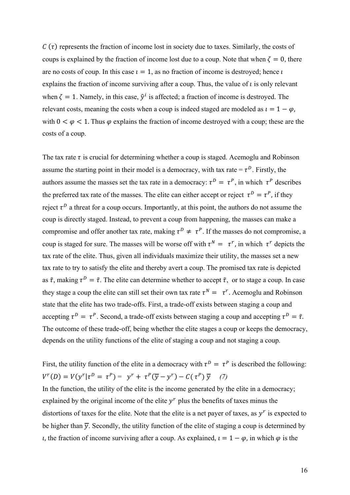$C(\tau)$  represents the fraction of income lost in society due to taxes. Similarly, the costs of coups is explained by the fraction of income lost due to a coup. Note that when  $\zeta = 0$ , there are no costs of coup. In this case  $i = 1$ , as no fraction of income is destroyed; hence i explains the fraction of income surviving after a coup. Thus, the value of  $\iota$  is only relevant when  $\zeta = 1$ . Namely, in this case,  $\hat{v}^i$  is affected; a fraction of income is destroyed. The relevant costs, meaning the costs when a coup is indeed staged are modeled as  $i = 1 - \varphi$ . with  $0 < \varphi < 1$ . Thus  $\varphi$  explains the fraction of income destroyed with a coup; these are the costs of a coup.

The tax rate  $\tau$  is crucial for determining whether a coup is staged. Acemoglu and Robinson assume the starting point in their model is a democracy, with tax rate =  $\tau^D$ . Firstly, the authors assume the masses set the tax rate in a democracy:  $\tau^D = \tau^P$ , in which  $\tau^P$  describes the preferred tax rate of the masses. The elite can either accept or reject  $\tau^D = \tau^P$ , if they reject  $\tau^D$  a threat for a coup occurs. Importantly, at this point, the authors do not assume the coup is directly staged. Instead, to prevent a coup from happening, the masses can make a compromise and offer another tax rate, making  $\tau^D \neq \tau^P$ . If the masses do not compromise, a coup is staged for sure. The masses will be worse off with  $\tau^N = \tau^r$ , in which  $\tau^r$  depicts the tax rate of the elite. Thus, given all individuals maximize their utility, the masses set a new tax rate to try to satisfy the elite and thereby avert a coup. The promised tax rate is depicted as  $\tilde{\tau}$ , making  $\tau^D = \tilde{\tau}$ . The elite can determine whether to accept  $\tilde{\tau}$ , or to stage a coup. In case they stage a coup the elite can still set their own tax rate  $\tau^N = \tau^r$ . Acemoglu and Robinson state that the elite has two trade-offs. First, a trade-off exists between staging a coup and accepting  $\tau^{D} = \tau^{P}$ . Second, a trade-off exists between staging a coup and accepting  $\tau^{D} = \tilde{\tau}$ . The outcome of these trade-off, being whether the elite stages a coup or keeps the democracy, depends on the utility functions of the elite of staging a coup and not staging a coup.

First, the utility function of the elite in a democracy with  $\tau^D = \tau^P$  is described the following:  $V^{r}(D) = V(\gamma^{r} | \tau^{D} = \tau^{P}) = \gamma^{r} + \tau^{P}(\overline{\gamma} - \gamma^{r}) - C(\tau^{P}) \overline{\gamma}$  (7) In the function, the utility of the elite is the income generated by the elite in a democracy; explained by the original income of the elite  $y^r$  plus the benefits of taxes minus the distortions of taxes for the elite. Note that the elite is a net payer of taxes, as  $y^r$  is expected to be higher than  $\overline{y}$ . Secondly, the utility function of the elite of staging a coup is determined by *i*, the fraction of income surviving after a coup. As explained,  $i = 1 - \varphi$ , in which  $\varphi$  is the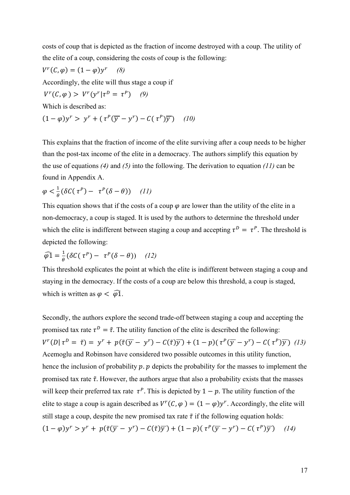costs of coup that is depicted as the fraction of income destroyed with a coup. The utility of the elite of a coup, considering the costs of coup is the following:

$$
V^{r}(C, \varphi) = (1 - \varphi)y^{r}
$$
 (8)  
Accordingly, the elite will thus stage a coup if

$$
V^r(C, \varphi) > V^r(y^r | \tau^D = \tau^P) \quad (9)
$$

Which is described as:

$$
(1 - \varphi)y^r > y^r + (\tau^p(\overline{y} - y^r) - C(\tau^p)\overline{y}) \quad (10)
$$

This explains that the fraction of income of the elite surviving after a coup needs to be higher than the post-tax income of the elite in a democracy. The authors simplify this equation by the use of equations *(4)* and *(5)* into the following. The derivation to equation *(11)* can be found in Appendix A.

$$
\varphi < \frac{1}{\theta} \left( \delta C(\tau^P) - \tau^P(\delta - \theta) \right) \quad (11)
$$

This equation shows that if the costs of a coup  $\varphi$  are lower than the utility of the elite in a non-democracy, a coup is staged. It is used by the authors to determine the threshold under which the elite is indifferent between staging a coup and accepting  $\tau^D = \tau^P$ . The threshold is depicted the following:

$$
\widehat{\varphi 1} = \frac{1}{\theta} (\delta C(\tau^P) - \tau^P (\delta - \theta)) \quad (12)
$$

This threshold explicates the point at which the elite is indifferent between staging a coup and staying in the democracy. If the costs of a coup are below this threshold, a coup is staged, which is written as  $\varphi < \widehat{\varphi}$ 1.

Secondly, the authors explore the second trade-off between staging a coup and accepting the promised tax rate  $\tau^D = \tilde{\tau}$ . The utility function of the elite is described the following:  $V^{r}(D | \tau^{D} = \tilde{\tau}) = y^{r} + p(\tilde{\tau}(\overline{y} - y^{r}) - C(\tilde{\tau})\overline{y}) + (1 - p)(\tau^{P}(\overline{y} - y^{r}) - C(\tau^{P})\overline{y})$  (13) Acemoglu and Robinson have considered two possible outcomes in this utility function, hence the inclusion of probability  $p$ .  $p$  depicts the probability for the masses to implement the promised tax rate  $\tilde{\tau}$ . However, the authors argue that also a probability exists that the masses will keep their preferred tax rate  $\tau^P$ . This is depicted by  $1 - p$ . The utility function of the elite to stage a coup is again described as  $V^r(C, \varphi) = (1 - \varphi)y^r$ . Accordingly, the elite will still stage a coup, despite the new promised tax rate  $\tilde{\tau}$  if the following equation holds:  $(1 - \varphi)y^r > y^r + p(\tilde{\tau}(\overline{y} - y^r) - C(\tilde{\tau})\overline{y}) + (1 - p)(\tau^p(\overline{y} - y^r) - C(\tau^p)\overline{y})$  (14)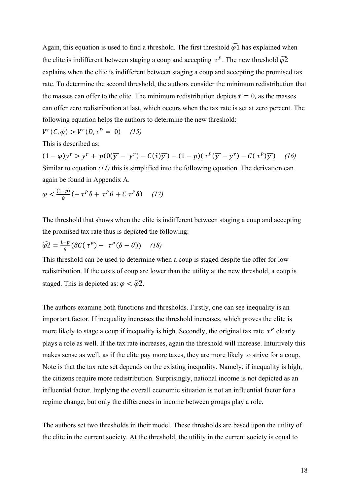Again, this equation is used to find a threshold. The first threshold  $\widehat{\varphi}$  has explained when the elite is indifferent between staging a coup and accepting  $\tau^P$ . The new threshold  $\widehat{\varphi2}$ explains when the elite is indifferent between staging a coup and accepting the promised tax rate. To determine the second threshold, the authors consider the minimum redistribution that the masses can offer to the elite. The minimum redistribution depicts  $\tilde{\tau} = 0$ , as the masses can offer zero redistribution at last, which occurs when the tax rate is set at zero percent. The following equation helps the authors to determine the new threshold:

 $V^r(C, \varphi) > V^r(D, \tau^D = 0)$  (15)

This is described as:

 $(1 - \varphi)y^r > y^r + p(0(\overline{y} - y^r) - C(\tilde{\tau})\overline{y}) + (1 - p)(\tau^p(\overline{y} - y^r) - C(\tau^p)\overline{y})$  (16) Similar to equation *(11)* this is simplified into the following equation. The derivation can again be found in Appendix A.

$$
\varphi < \frac{(1-p)}{\theta} \left( -\tau^P \delta + \tau^P \theta + C \tau^P \delta \right) \quad (17)
$$

The threshold that shows when the elite is indifferent between staging a coup and accepting the promised tax rate thus is depicted the following:

$$
\widehat{\varphi 2} = \frac{1-p}{\theta} (\delta C(\tau^P) - \tau^P(\delta - \theta)) \quad (18)
$$

This threshold can be used to determine when a coup is staged despite the offer for low redistribution. If the costs of coup are lower than the utility at the new threshold, a coup is staged. This is depicted as:  $\varphi < \widehat{\varphi}$ 2.

The authors examine both functions and thresholds. Firstly, one can see inequality is an important factor. If inequality increases the threshold increases, which proves the elite is more likely to stage a coup if inequality is high. Secondly, the original tax rate  $\tau^P$  clearly plays a role as well. If the tax rate increases, again the threshold will increase. Intuitively this makes sense as well, as if the elite pay more taxes, they are more likely to strive for a coup. Note is that the tax rate set depends on the existing inequality. Namely, if inequality is high, the citizens require more redistribution. Surprisingly, national income is not depicted as an influential factor. Implying the overall economic situation is not an influential factor for a regime change, but only the differences in income between groups play a role.

The authors set two thresholds in their model. These thresholds are based upon the utility of the elite in the current society. At the threshold, the utility in the current society is equal to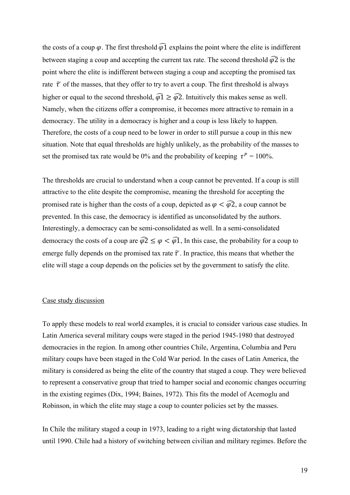the costs of a coup  $\varphi$ . The first threshold  $\widehat{\varphi}$  explains the point where the elite is indifferent between staging a coup and accepting the current tax rate. The second threshold  $\widehat{\varphi}2$  is the point where the elite is indifferent between staging a coup and accepting the promised tax rate  $\tilde{\tau}$  of the masses, that they offer to try to avert a coup. The first threshold is always higher or equal to the second threshold,  $\widehat{\varphi} \cdot \widehat{\varphi}$ . Intuitively this makes sense as well. Namely, when the citizens offer a compromise, it becomes more attractive to remain in a democracy. The utility in a democracy is higher and a coup is less likely to happen. Therefore, the costs of a coup need to be lower in order to still pursue a coup in this new situation. Note that equal thresholds are highly unlikely, as the probability of the masses to set the promised tax rate would be 0% and the probability of keeping  $\tau^P = 100\%$ .

The thresholds are crucial to understand when a coup cannot be prevented. If a coup is still attractive to the elite despite the compromise, meaning the threshold for accepting the promised rate is higher than the costs of a coup, depicted as  $\varphi < \widehat{\varphi2}$ , a coup cannot be prevented. In this case, the democracy is identified as unconsolidated by the authors. Interestingly, a democracy can be semi-consolidated as well. In a semi-consolidated democracy the costs of a coup are  $\widehat{\varphi}2 \leq \varphi < \widehat{\varphi1}$ , In this case, the probability for a coup to emerge fully depends on the promised tax rate  $\tilde{\tau}$ . In practice, this means that whether the elite will stage a coup depends on the policies set by the government to satisfy the elite.

#### Case study discussion

To apply these models to real world examples, it is crucial to consider various case studies. In Latin America several military coups were staged in the period 1945-1980 that destroyed democracies in the region. In among other countries Chile, Argentina, Columbia and Peru military coups have been staged in the Cold War period. In the cases of Latin America, the military is considered as being the elite of the country that staged a coup. They were believed to represent a conservative group that tried to hamper social and economic changes occurring in the existing regimes (Dix, 1994; Baines, 1972). This fits the model of Acemoglu and Robinson, in which the elite may stage a coup to counter policies set by the masses.

In Chile the military staged a coup in 1973, leading to a right wing dictatorship that lasted until 1990. Chile had a history of switching between civilian and military regimes. Before the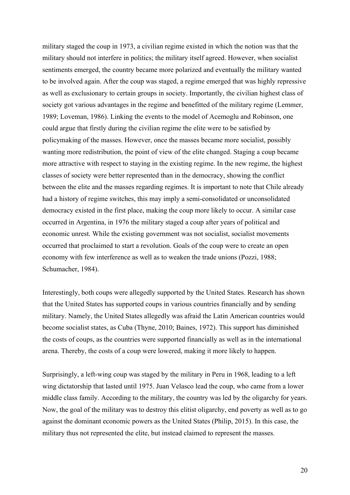military staged the coup in 1973, a civilian regime existed in which the notion was that the military should not interfere in politics; the military itself agreed. However, when socialist sentiments emerged, the country became more polarized and eventually the military wanted to be involved again. After the coup was staged, a regime emerged that was highly repressive as well as exclusionary to certain groups in society. Importantly, the civilian highest class of society got various advantages in the regime and benefitted of the military regime (Lemmer, 1989; Loveman, 1986). Linking the events to the model of Acemoglu and Robinson, one could argue that firstly during the civilian regime the elite were to be satisfied by policymaking of the masses. However, once the masses became more socialist, possibly wanting more redistribution, the point of view of the elite changed. Staging a coup became more attractive with respect to staying in the existing regime. In the new regime, the highest classes of society were better represented than in the democracy, showing the conflict between the elite and the masses regarding regimes. It is important to note that Chile already had a history of regime switches, this may imply a semi-consolidated or unconsolidated democracy existed in the first place, making the coup more likely to occur. A similar case occurred in Argentina, in 1976 the military staged a coup after years of political and economic unrest. While the existing government was not socialist, socialist movements occurred that proclaimed to start a revolution. Goals of the coup were to create an open economy with few interference as well as to weaken the trade unions (Pozzi, 1988; Schumacher, 1984).

Interestingly, both coups were allegedly supported by the United States. Research has shown that the United States has supported coups in various countries financially and by sending military. Namely, the United States allegedly was afraid the Latin American countries would become socialist states, as Cuba (Thyne, 2010; Baines, 1972). This support has diminished the costs of coups, as the countries were supported financially as well as in the international arena. Thereby, the costs of a coup were lowered, making it more likely to happen.

Surprisingly, a left-wing coup was staged by the military in Peru in 1968, leading to a left wing dictatorship that lasted until 1975. Juan Velasco lead the coup, who came from a lower middle class family. According to the military, the country was led by the oligarchy for years. Now, the goal of the military was to destroy this elitist oligarchy, end poverty as well as to go against the dominant economic powers as the United States (Philip, 2015). In this case, the military thus not represented the elite, but instead claimed to represent the masses.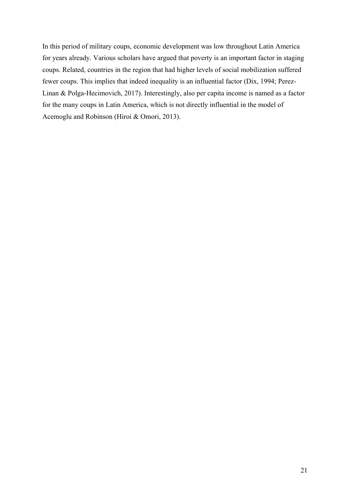In this period of military coups, economic development was low throughout Latin America for years already. Various scholars have argued that poverty is an important factor in staging coups. Related, countries in the region that had higher levels of social mobilization suffered fewer coups. This implies that indeed inequality is an influential factor (Dix, 1994; Perez-Linan & Polga-Hecimovich, 2017). Interestingly, also per capita income is named as a factor for the many coups in Latin America, which is not directly influential in the model of Acemoglu and Robinson (Hiroi & Omori, 2013).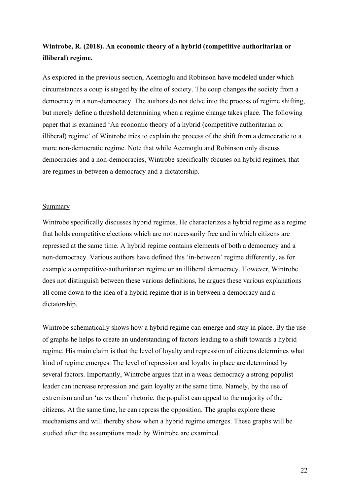# **Wintrobe, R. (2018). An economic theory of a hybrid (competitive authoritarian or illiberal) regime.**

As explored in the previous section, Acemoglu and Robinson have modeled under which circumstances a coup is staged by the elite of society. The coup changes the society from a democracy in a non-democracy. The authors do not delve into the process of regime shifting, but merely define a threshold determining when a regime change takes place. The following paper that is examined 'An economic theory of a hybrid (competitive authoritarian or illiberal) regime' of Wintrobe tries to explain the process of the shift from a democratic to a more non-democratic regime. Note that while Acemoglu and Robinson only discuss democracies and a non-democracies, Wintrobe specifically focuses on hybrid regimes, that are regimes in-between a democracy and a dictatorship.

#### Summary

Wintrobe specifically discusses hybrid regimes. He characterizes a hybrid regime as a regime that holds competitive elections which are not necessarily free and in which citizens are repressed at the same time. A hybrid regime contains elements of both a democracy and a non-democracy. Various authors have defined this 'in-between' regime differently, as for example a competitive-authoritarian regime or an illiberal democracy. However, Wintrobe does not distinguish between these various definitions, he argues these various explanations all come down to the idea of a hybrid regime that is in between a democracy and a dictatorship.

Wintrobe schematically shows how a hybrid regime can emerge and stay in place. By the use of graphs he helps to create an understanding of factors leading to a shift towards a hybrid regime. His main claim is that the level of loyalty and repression of citizens determines what kind of regime emerges. The level of repression and loyalty in place are determined by several factors. Importantly, Wintrobe argues that in a weak democracy a strong populist leader can increase repression and gain loyalty at the same time. Namely, by the use of extremism and an 'us vs them' rhetoric, the populist can appeal to the majority of the citizens. At the same time, he can repress the opposition. The graphs explore these mechanisms and will thereby show when a hybrid regime emerges. These graphs will be studied after the assumptions made by Wintrobe are examined.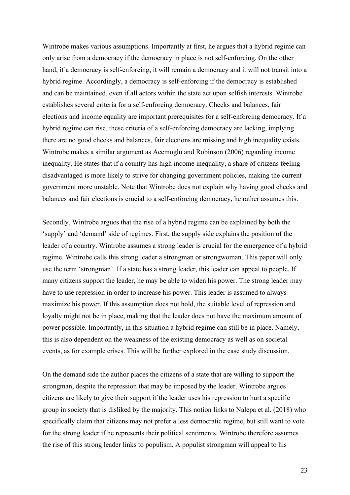Wintrobe makes various assumptions. Importantly at first, he argues that a hybrid regime can only arise from a democracy if the democracy in place is not self-enforcing. On the other hand, if a democracy is self-enforcing, it will remain a democracy and it will not transit into a hybrid regime. Accordingly, a democracy is self-enforcing if the democracy is established and can be maintained, even if all actors within the state act upon selfish interests. Wintrobe establishes several criteria for a self-enforcing democracy. Checks and balances, fair elections and income equality are important prerequisites for a self-enforcing democracy. If a hybrid regime can rise, these criteria of a self-enforcing democracy are lacking, implying there are no good checks and balances, fair elections are missing and high inequality exists. Wintrobe makes a similar argument as Acemoglu and Robinson (2006) regarding income inequality. He states that if a country has high income inequality, a share of citizens feeling disadvantaged is more likely to strive for changing government policies, making the current government more unstable. Note that Wintrobe does not explain why having good checks and balances and fair elections is crucial to a self-enforcing democracy, he rather assumes this.

Secondly, Wintrobe argues that the rise of a hybrid regime can be explained by both the 'supply' and 'demand' side of regimes. First, the supply side explains the position of the leader of a country. Wintrobe assumes a strong leader is crucial for the emergence of a hybrid regime. Wintrobe calls this strong leader a strongman or strongwoman. This paper will only use the term 'strongman'. If a state has a strong leader, this leader can appeal to people. If many citizens support the leader, he may be able to widen his power. The strong leader may have to use repression in order to increase his power. This leader is assumed to always maximize his power. If this assumption does not hold, the suitable level of repression and loyalty might not be in place, making that the leader does not have the maximum amount of power possible. Importantly, in this situation a hybrid regime can still be in place. Namely, this is also dependent on the weakness of the existing democracy as well as on societal events, as for example crises. This will be further explored in the case study discussion.

On the demand side the author places the citizens of a state that are willing to support the strongman, despite the repression that may be imposed by the leader. Wintrobe argues citizens are likely to give their support if the leader uses his repression to hurt a specific group in society that is disliked by the majority. This notion links to Nalepa et al. (2018) who specifically claim that citizens may not prefer a less democratic regime, but still want to vote for the strong leader if he represents their political sentiments. Wintrobe therefore assumes the rise of this strong leader links to populism. A populist strongman will appeal to his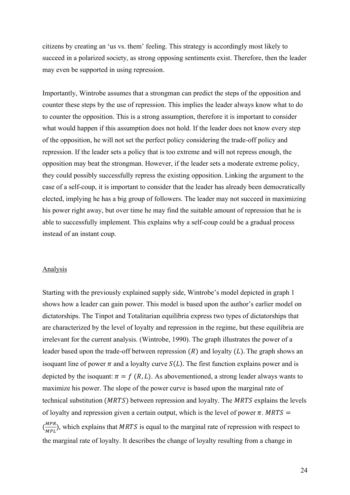citizens by creating an 'us vs. them' feeling. This strategy is accordingly most likely to succeed in a polarized society, as strong opposing sentiments exist. Therefore, then the leader may even be supported in using repression.

Importantly, Wintrobe assumes that a strongman can predict the steps of the opposition and counter these steps by the use of repression. This implies the leader always know what to do to counter the opposition. This is a strong assumption, therefore it is important to consider what would happen if this assumption does not hold. If the leader does not know every step of the opposition, he will not set the perfect policy considering the trade-off policy and repression. If the leader sets a policy that is too extreme and will not repress enough, the opposition may beat the strongman. However, if the leader sets a moderate extreme policy, they could possibly successfully repress the existing opposition. Linking the argument to the case of a self-coup, it is important to consider that the leader has already been democratically elected, implying he has a big group of followers. The leader may not succeed in maximizing his power right away, but over time he may find the suitable amount of repression that he is able to successfully implement. This explains why a self-coup could be a gradual process instead of an instant coup.

#### Analysis

Starting with the previously explained supply side, Wintrobe's model depicted in graph 1 shows how a leader can gain power. This model is based upon the author's earlier model on dictatorships. The Tinpot and Totalitarian equilibria express two types of dictatorships that are characterized by the level of loyalty and repression in the regime, but these equilibria are irrelevant for the current analysis. (Wintrobe, 1990). The graph illustrates the power of a leader based upon the trade-off between repression  $(R)$  and loyalty  $(L)$ . The graph shows an isoquant line of power  $\pi$  and a loyalty curve  $S(L)$ . The first function explains power and is depicted by the isoquant:  $\pi = f(R, L)$ . As abovementioned, a strong leader always wants to maximize his power. The slope of the power curve is based upon the marginal rate of technical substitution ( $MRTS$ ) between repression and loyalty. The  $MRTS$  explains the levels of loyalty and repression given a certain output, which is the level of power  $\pi$ . MRTS =  $\left(\frac{MPR}{MPR}\right)$  $\frac{MPR}{MPL}$ ), which explains that MRTS is equal to the marginal rate of repression with respect to the marginal rate of loyalty. It describes the change of loyalty resulting from a change in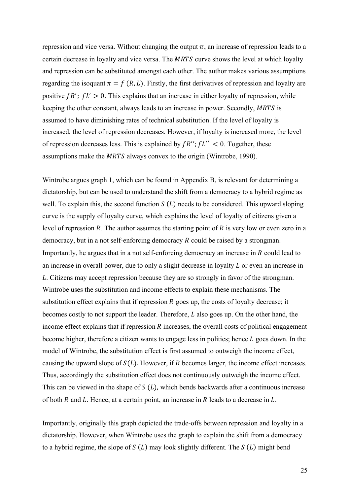repression and vice versa. Without changing the output  $\pi$ , an increase of repression leads to a certain decrease in loyalty and vice versa. The MRTS curve shows the level at which loyalty and repression can be substituted amongst each other. The author makes various assumptions regarding the isoquant  $\pi = f(R, L)$ . Firstly, the first derivatives of repression and loyalty are positive  $fR'$ ;  $fL' > 0$ . This explains that an increase in either loyalty of repression, while keeping the other constant, always leads to an increase in power. Secondly, MRTS is assumed to have diminishing rates of technical substitution. If the level of loyalty is increased, the level of repression decreases. However, if loyalty is increased more, the level of repression decreases less. This is explained by  $f R''$ ;  $f L'' < 0$ . Together, these assumptions make the MRTS always convex to the origin (Wintrobe, 1990).

Wintrobe argues graph 1, which can be found in Appendix B, is relevant for determining a dictatorship, but can be used to understand the shift from a democracy to a hybrid regime as well. To explain this, the second function  $S(L)$  needs to be considered. This upward sloping curve is the supply of loyalty curve, which explains the level of loyalty of citizens given a level of repression  $R$ . The author assumes the starting point of  $R$  is very low or even zero in a democracy, but in a not self-enforcing democracy  $R$  could be raised by a strongman. Importantly, he argues that in a not self-enforcing democracy an increase in  $R$  could lead to an increase in overall power, due to only a slight decrease in loyalty  $L$  or even an increase in . Citizens may accept repression because they are so strongly in favor of the strongman. Wintrobe uses the substitution and income effects to explain these mechanisms. The substitution effect explains that if repression  $R$  goes up, the costs of loyalty decrease; it becomes costly to not support the leader. Therefore,  $L$  also goes up. On the other hand, the income effect explains that if repression  $R$  increases, the overall costs of political engagement become higher, therefore a citizen wants to engage less in politics; hence  $L$  goes down. In the model of Wintrobe, the substitution effect is first assumed to outweigh the income effect, causing the upward slope of  $S(L)$ . However, if R becomes larger, the income effect increases. Thus, accordingly the substitution effect does not continuously outweigh the income effect. This can be viewed in the shape of  $S(L)$ , which bends backwards after a continuous increase of both  $R$  and  $L$ . Hence, at a certain point, an increase in  $R$  leads to a decrease in  $L$ .

Importantly, originally this graph depicted the trade-offs between repression and loyalty in a dictatorship. However, when Wintrobe uses the graph to explain the shift from a democracy to a hybrid regime, the slope of  $S(L)$  may look slightly different. The  $S(L)$  might bend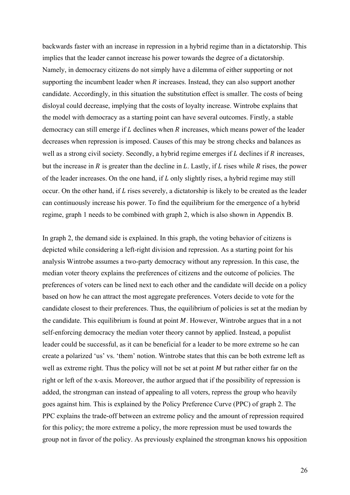backwards faster with an increase in repression in a hybrid regime than in a dictatorship. This implies that the leader cannot increase his power towards the degree of a dictatorship. Namely, in democracy citizens do not simply have a dilemma of either supporting or not supporting the incumbent leader when  *increases. Instead, they can also support another* candidate. Accordingly, in this situation the substitution effect is smaller. The costs of being disloyal could decrease, implying that the costs of loyalty increase. Wintrobe explains that the model with democracy as a starting point can have several outcomes. Firstly, a stable democracy can still emerge if  $L$  declines when  $R$  increases, which means power of the leader decreases when repression is imposed. Causes of this may be strong checks and balances as well as a strong civil society. Secondly, a hybrid regime emerges if  $L$  declines if  $R$  increases, but the increase in  $R$  is greater than the decline in  $L$ . Lastly, if  $L$  rises while  $R$  rises, the power of the leader increases. On the one hand, if  $L$  only slightly rises, a hybrid regime may still occur. On the other hand, if  $L$  rises severely, a dictatorship is likely to be created as the leader can continuously increase his power. To find the equilibrium for the emergence of a hybrid regime, graph 1 needs to be combined with graph 2, which is also shown in Appendix B.

In graph 2, the demand side is explained. In this graph, the voting behavior of citizens is depicted while considering a left-right division and repression. As a starting point for his analysis Wintrobe assumes a two-party democracy without any repression. In this case, the median voter theory explains the preferences of citizens and the outcome of policies. The preferences of voters can be lined next to each other and the candidate will decide on a policy based on how he can attract the most aggregate preferences. Voters decide to vote for the candidate closest to their preferences. Thus, the equilibrium of policies is set at the median by the candidate. This equilibrium is found at point  $M$ . However, Wintrobe argues that in a not self-enforcing democracy the median voter theory cannot by applied. Instead, a populist leader could be successful, as it can be beneficial for a leader to be more extreme so he can create a polarized 'us' vs. 'them' notion. Wintrobe states that this can be both extreme left as well as extreme right. Thus the policy will not be set at point  $M$  but rather either far on the right or left of the x-axis. Moreover, the author argued that if the possibility of repression is added, the strongman can instead of appealing to all voters, repress the group who heavily goes against him. This is explained by the Policy Preference Curve (PPC) of graph 2. The PPC explains the trade-off between an extreme policy and the amount of repression required for this policy; the more extreme a policy, the more repression must be used towards the group not in favor of the policy. As previously explained the strongman knows his opposition

26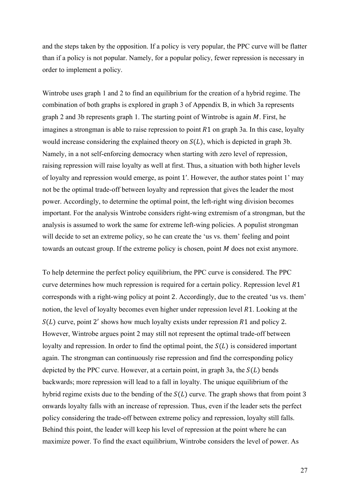and the steps taken by the opposition. If a policy is very popular, the PPC curve will be flatter than if a policy is not popular. Namely, for a popular policy, fewer repression is necessary in order to implement a policy.

Wintrobe uses graph 1 and 2 to find an equilibrium for the creation of a hybrid regime. The combination of both graphs is explored in graph 3 of Appendix B, in which 3a represents graph 2 and 3b represents graph 1. The starting point of Wintrobe is again  $M$ . First, he imagines a strongman is able to raise repression to point  $R1$  on graph 3a. In this case, loyalty would increase considering the explained theory on  $S(L)$ , which is depicted in graph 3b. Namely, in a not self-enforcing democracy when starting with zero level of repression, raising repression will raise loyalty as well at first. Thus, a situation with both higher levels of loyalty and repression would emerge, as point 1'. However, the author states point 1' may not be the optimal trade-off between loyalty and repression that gives the leader the most power. Accordingly, to determine the optimal point, the left-right wing division becomes important. For the analysis Wintrobe considers right-wing extremism of a strongman, but the analysis is assumed to work the same for extreme left-wing policies. A populist strongman will decide to set an extreme policy, so he can create the 'us vs. them' feeling and point towards an outcast group. If the extreme policy is chosen, point  $M$  does not exist anymore.

To help determine the perfect policy equilibrium, the PPC curve is considered. The PPC curve determines how much repression is required for a certain policy. Repression level  $R1$ corresponds with a right-wing policy at point 2. Accordingly, due to the created 'us vs. them' notion, the level of loyalty becomes even higher under repression level  $R1$ . Looking at the  $S(L)$  curve, point 2' shows how much loyalty exists under repression R1 and policy 2. However, Wintrobe argues point 2 may still not represent the optimal trade-off between loyalty and repression. In order to find the optimal point, the  $S(L)$  is considered important again. The strongman can continuously rise repression and find the corresponding policy depicted by the PPC curve. However, at a certain point, in graph 3a, the  $S(L)$  bends backwards; more repression will lead to a fall in loyalty. The unique equilibrium of the hybrid regime exists due to the bending of the  $S(L)$  curve. The graph shows that from point 3 onwards loyalty falls with an increase of repression. Thus, even if the leader sets the perfect policy considering the trade-off between extreme policy and repression, loyalty still falls. Behind this point, the leader will keep his level of repression at the point where he can maximize power. To find the exact equilibrium, Wintrobe considers the level of power. As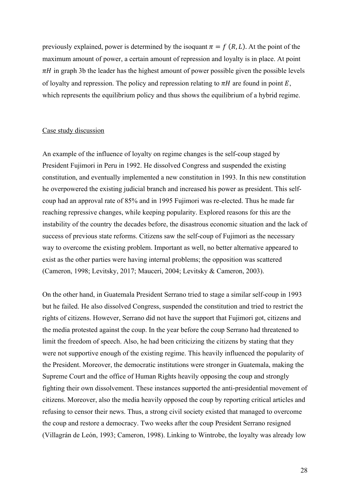previously explained, power is determined by the isoquant  $\pi = f(R, L)$ . At the point of the maximum amount of power, a certain amount of repression and loyalty is in place. At point  $\pi$ H in graph 3b the leader has the highest amount of power possible given the possible levels of loyalty and repression. The policy and repression relating to  $\pi H$  are found in point E, which represents the equilibrium policy and thus shows the equilibrium of a hybrid regime.

## Case study discussion

An example of the influence of loyalty on regime changes is the self-coup staged by President Fujimori in Peru in 1992. He dissolved Congress and suspended the existing constitution, and eventually implemented a new constitution in 1993. In this new constitution he overpowered the existing judicial branch and increased his power as president. This selfcoup had an approval rate of 85% and in 1995 Fujimori was re-elected. Thus he made far reaching repressive changes, while keeping popularity. Explored reasons for this are the instability of the country the decades before, the disastrous economic situation and the lack of success of previous state reforms. Citizens saw the self-coup of Fujimori as the necessary way to overcome the existing problem. Important as well, no better alternative appeared to exist as the other parties were having internal problems; the opposition was scattered (Cameron, 1998; Levitsky, 2017; Mauceri, 2004; Levitsky & Cameron, 2003).

On the other hand, in Guatemala President Serrano tried to stage a similar self-coup in 1993 but he failed. He also dissolved Congress, suspended the constitution and tried to restrict the rights of citizens. However, Serrano did not have the support that Fujimori got, citizens and the media protested against the coup. In the year before the coup Serrano had threatened to limit the freedom of speech. Also, he had been criticizing the citizens by stating that they were not supportive enough of the existing regime. This heavily influenced the popularity of the President. Moreover, the democratic institutions were stronger in Guatemala, making the Supreme Court and the office of Human Rights heavily opposing the coup and strongly fighting their own dissolvement. These instances supported the anti-presidential movement of citizens. Moreover, also the media heavily opposed the coup by reporting critical articles and refusing to censor their news. Thus, a strong civil society existed that managed to overcome the coup and restore a democracy. Two weeks after the coup President Serrano resigned (Villagrán de León, 1993; Cameron, 1998). Linking to Wintrobe, the loyalty was already low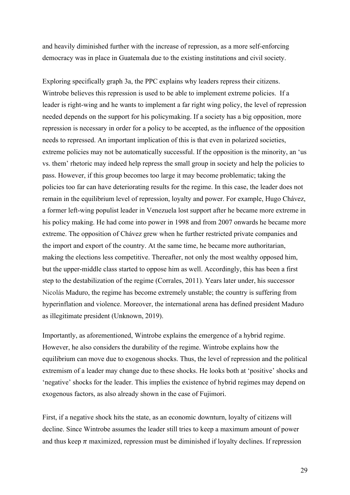and heavily diminished further with the increase of repression, as a more self-enforcing democracy was in place in Guatemala due to the existing institutions and civil society.

Exploring specifically graph 3a, the PPC explains why leaders repress their citizens. Wintrobe believes this repression is used to be able to implement extreme policies. If a leader is right-wing and he wants to implement a far right wing policy, the level of repression needed depends on the support for his policymaking. If a society has a big opposition, more repression is necessary in order for a policy to be accepted, as the influence of the opposition needs to repressed. An important implication of this is that even in polarized societies, extreme policies may not be automatically successful. If the opposition is the minority, an 'us vs. them' rhetoric may indeed help repress the small group in society and help the policies to pass. However, if this group becomes too large it may become problematic; taking the policies too far can have deteriorating results for the regime. In this case, the leader does not remain in the equilibrium level of repression, loyalty and power. For example, Hugo Chávez, a former left-wing populist leader in Venezuela lost support after he became more extreme in his policy making. He had come into power in 1998 and from 2007 onwards he became more extreme. The opposition of Chávez grew when he further restricted private companies and the import and export of the country. At the same time, he became more authoritarian, making the elections less competitive. Thereafter, not only the most wealthy opposed him, but the upper-middle class started to oppose him as well. Accordingly, this has been a first step to the destabilization of the regime (Corrales, 2011). Years later under, his successor Nicolás Maduro, the regime has become extremely unstable; the country is suffering from hyperinflation and violence. Moreover, the international arena has defined president Maduro as illegitimate president (Unknown, 2019).

Importantly, as aforementioned, Wintrobe explains the emergence of a hybrid regime. However, he also considers the durability of the regime. Wintrobe explains how the equilibrium can move due to exogenous shocks. Thus, the level of repression and the political extremism of a leader may change due to these shocks. He looks both at 'positive' shocks and 'negative' shocks for the leader. This implies the existence of hybrid regimes may depend on exogenous factors, as also already shown in the case of Fujimori.

First, if a negative shock hits the state, as an economic downturn, loyalty of citizens will decline. Since Wintrobe assumes the leader still tries to keep a maximum amount of power and thus keep  $\pi$  maximized, repression must be diminished if loyalty declines. If repression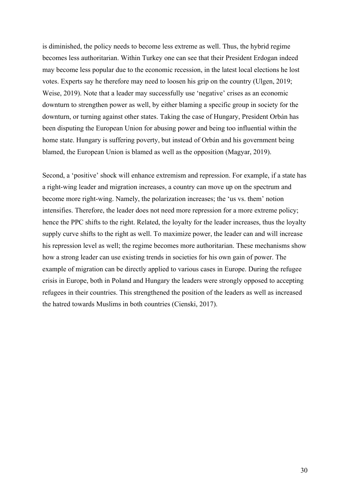is diminished, the policy needs to become less extreme as well. Thus, the hybrid regime becomes less authoritarian. Within Turkey one can see that their President Erdogan indeed may become less popular due to the economic recession, in the latest local elections he lost votes. Experts say he therefore may need to loosen his grip on the country (Ulgen, 2019; Weise, 2019). Note that a leader may successfully use 'negative' crises as an economic downturn to strengthen power as well, by either blaming a specific group in society for the downturn, or turning against other states. Taking the case of Hungary, President Orbán has been disputing the European Union for abusing power and being too influential within the home state. Hungary is suffering poverty, but instead of Orbán and his government being blamed, the European Union is blamed as well as the opposition (Magyar, 2019).

Second, a 'positive' shock will enhance extremism and repression. For example, if a state has a right-wing leader and migration increases, a country can move up on the spectrum and become more right-wing. Namely, the polarization increases; the 'us vs. them' notion intensifies. Therefore, the leader does not need more repression for a more extreme policy; hence the PPC shifts to the right. Related, the loyalty for the leader increases, thus the loyalty supply curve shifts to the right as well. To maximize power, the leader can and will increase his repression level as well; the regime becomes more authoritarian. These mechanisms show how a strong leader can use existing trends in societies for his own gain of power. The example of migration can be directly applied to various cases in Europe. During the refugee crisis in Europe, both in Poland and Hungary the leaders were strongly opposed to accepting refugees in their countries. This strengthened the position of the leaders as well as increased the hatred towards Muslims in both countries (Cienski, 2017).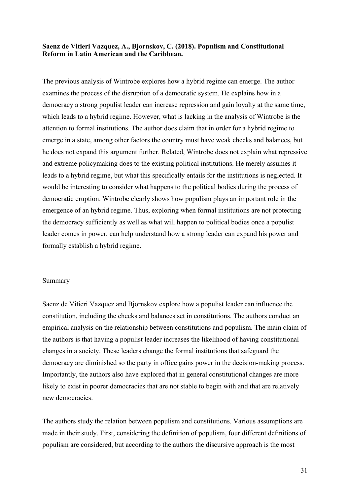## **Saenz de Vitieri Vazquez, A., Bjornskov, C. (2018). Populism and Constitutional Reform in Latin American and the Caribbean.**

The previous analysis of Wintrobe explores how a hybrid regime can emerge. The author examines the process of the disruption of a democratic system. He explains how in a democracy a strong populist leader can increase repression and gain loyalty at the same time, which leads to a hybrid regime. However, what is lacking in the analysis of Wintrobe is the attention to formal institutions. The author does claim that in order for a hybrid regime to emerge in a state, among other factors the country must have weak checks and balances, but he does not expand this argument further. Related, Wintrobe does not explain what repressive and extreme policymaking does to the existing political institutions. He merely assumes it leads to a hybrid regime, but what this specifically entails for the institutions is neglected. It would be interesting to consider what happens to the political bodies during the process of democratic eruption. Wintrobe clearly shows how populism plays an important role in the emergence of an hybrid regime. Thus, exploring when formal institutions are not protecting the democracy sufficiently as well as what will happen to political bodies once a populist leader comes in power, can help understand how a strong leader can expand his power and formally establish a hybrid regime.

#### Summary

Saenz de Vitieri Vazquez and Bjornskov explore how a populist leader can influence the constitution, including the checks and balances set in constitutions. The authors conduct an empirical analysis on the relationship between constitutions and populism. The main claim of the authors is that having a populist leader increases the likelihood of having constitutional changes in a society. These leaders change the formal institutions that safeguard the democracy are diminished so the party in office gains power in the decision-making process. Importantly, the authors also have explored that in general constitutional changes are more likely to exist in poorer democracies that are not stable to begin with and that are relatively new democracies.

The authors study the relation between populism and constitutions. Various assumptions are made in their study. First, considering the definition of populism, four different definitions of populism are considered, but according to the authors the discursive approach is the most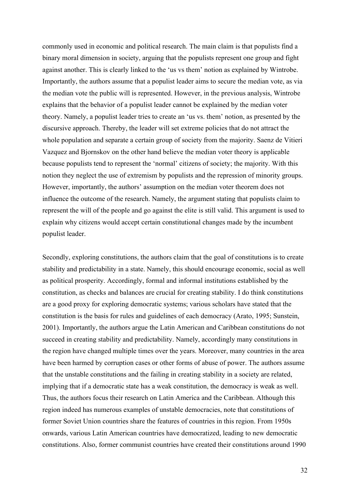commonly used in economic and political research. The main claim is that populists find a binary moral dimension in society, arguing that the populists represent one group and fight against another. This is clearly linked to the 'us vs them' notion as explained by Wintrobe. Importantly, the authors assume that a populist leader aims to secure the median vote, as via the median vote the public will is represented. However, in the previous analysis, Wintrobe explains that the behavior of a populist leader cannot be explained by the median voter theory. Namely, a populist leader tries to create an 'us vs. them' notion, as presented by the discursive approach. Thereby, the leader will set extreme policies that do not attract the whole population and separate a certain group of society from the majority. Saenz de Vitieri Vazquez and Bjornskov on the other hand believe the median voter theory is applicable because populists tend to represent the 'normal' citizens of society; the majority. With this notion they neglect the use of extremism by populists and the repression of minority groups. However, importantly, the authors' assumption on the median voter theorem does not influence the outcome of the research. Namely, the argument stating that populists claim to represent the will of the people and go against the elite is still valid. This argument is used to explain why citizens would accept certain constitutional changes made by the incumbent populist leader.

Secondly, exploring constitutions, the authors claim that the goal of constitutions is to create stability and predictability in a state. Namely, this should encourage economic, social as well as political prosperity. Accordingly, formal and informal institutions established by the constitution, as checks and balances are crucial for creating stability. I do think constitutions are a good proxy for exploring democratic systems; various scholars have stated that the constitution is the basis for rules and guidelines of each democracy (Arato, 1995; Sunstein, 2001). Importantly, the authors argue the Latin American and Caribbean constitutions do not succeed in creating stability and predictability. Namely, accordingly many constitutions in the region have changed multiple times over the years. Moreover, many countries in the area have been harmed by corruption cases or other forms of abuse of power. The authors assume that the unstable constitutions and the failing in creating stability in a society are related, implying that if a democratic state has a weak constitution, the democracy is weak as well. Thus, the authors focus their research on Latin America and the Caribbean. Although this region indeed has numerous examples of unstable democracies, note that constitutions of former Soviet Union countries share the features of countries in this region. From 1950s onwards, various Latin American countries have democratized, leading to new democratic constitutions. Also, former communist countries have created their constitutions around 1990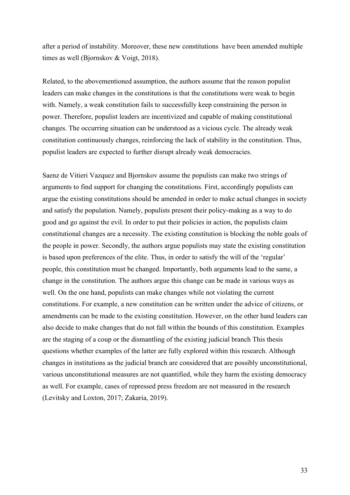after a period of instability. Moreover, these new constitutions have been amended multiple times as well (Bjornskov & Voigt, 2018).

Related, to the abovementioned assumption, the authors assume that the reason populist leaders can make changes in the constitutions is that the constitutions were weak to begin with. Namely, a weak constitution fails to successfully keep constraining the person in power. Therefore, populist leaders are incentivized and capable of making constitutional changes. The occurring situation can be understood as a vicious cycle. The already weak constitution continuously changes, reinforcing the lack of stability in the constitution. Thus, populist leaders are expected to further disrupt already weak democracies.

Saenz de Vitieri Vazquez and Bjornskov assume the populists can make two strings of arguments to find support for changing the constitutions. First, accordingly populists can argue the existing constitutions should be amended in order to make actual changes in society and satisfy the population. Namely, populists present their policy-making as a way to do good and go against the evil. In order to put their policies in action, the populists claim constitutional changes are a necessity. The existing constitution is blocking the noble goals of the people in power. Secondly, the authors argue populists may state the existing constitution is based upon preferences of the elite. Thus, in order to satisfy the will of the 'regular' people, this constitution must be changed. Importantly, both arguments lead to the same, a change in the constitution. The authors argue this change can be made in various ways as well. On the one hand, populists can make changes while not violating the current constitutions. For example, a new constitution can be written under the advice of citizens, or amendments can be made to the existing constitution. However, on the other hand leaders can also decide to make changes that do not fall within the bounds of this constitution. Examples are the staging of a coup or the dismantling of the existing judicial branch This thesis questions whether examples of the latter are fully explored within this research. Although changes in institutions as the judicial branch are considered that are possibly unconstitutional, various unconstitutional measures are not quantified, while they harm the existing democracy as well. For example, cases of repressed press freedom are not measured in the research (Levitsky and Loxton, 2017; Zakaria, 2019).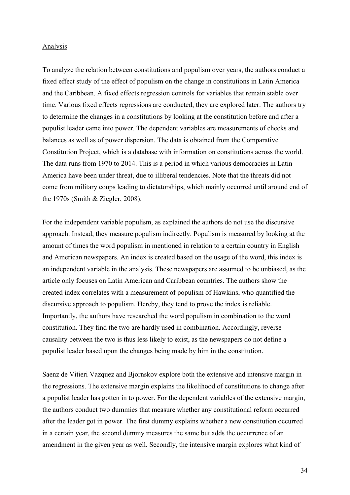#### Analysis

To analyze the relation between constitutions and populism over years, the authors conduct a fixed effect study of the effect of populism on the change in constitutions in Latin America and the Caribbean. A fixed effects regression controls for variables that remain stable over time. Various fixed effects regressions are conducted, they are explored later. The authors try to determine the changes in a constitutions by looking at the constitution before and after a populist leader came into power. The dependent variables are measurements of checks and balances as well as of power dispersion. The data is obtained from the Comparative Constitution Project, which is a database with information on constitutions across the world. The data runs from 1970 to 2014. This is a period in which various democracies in Latin America have been under threat, due to illiberal tendencies. Note that the threats did not come from military coups leading to dictatorships, which mainly occurred until around end of the 1970s (Smith & Ziegler, 2008).

For the independent variable populism, as explained the authors do not use the discursive approach. Instead, they measure populism indirectly. Populism is measured by looking at the amount of times the word populism in mentioned in relation to a certain country in English and American newspapers. An index is created based on the usage of the word, this index is an independent variable in the analysis. These newspapers are assumed to be unbiased, as the article only focuses on Latin American and Caribbean countries. The authors show the created index correlates with a measurement of populism of Hawkins, who quantified the discursive approach to populism. Hereby, they tend to prove the index is reliable. Importantly, the authors have researched the word populism in combination to the word constitution. They find the two are hardly used in combination. Accordingly, reverse causality between the two is thus less likely to exist, as the newspapers do not define a populist leader based upon the changes being made by him in the constitution.

Saenz de Vitieri Vazquez and Bjornskov explore both the extensive and intensive margin in the regressions. The extensive margin explains the likelihood of constitutions to change after a populist leader has gotten in to power. For the dependent variables of the extensive margin, the authors conduct two dummies that measure whether any constitutional reform occurred after the leader got in power. The first dummy explains whether a new constitution occurred in a certain year, the second dummy measures the same but adds the occurrence of an amendment in the given year as well. Secondly, the intensive margin explores what kind of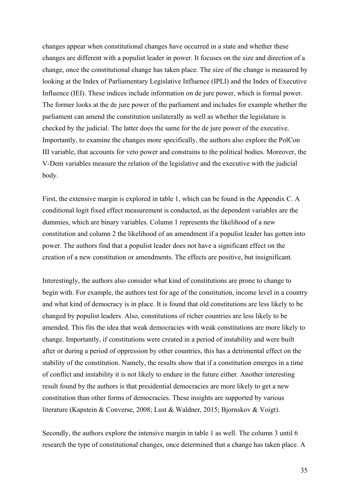changes appear when constitutional changes have occurred in a state and whether these changes are different with a populist leader in power. It focuses on the size and direction of a change, once the constitutional change has taken place. The size of the change is measured by looking at the Index of Parliamentary Legislative Influence (IPLI) and the Index of Executive Influence (IEI). These indices include information on de jure power, which is formal power. The former looks at the de jure power of the parliament and includes for example whether the parliament can amend the constitution unilaterally as well as whether the legislature is checked by the judicial. The latter does the same for the de jure power of the executive. Importantly, to examine the changes more specifically, the authors also explore the PolCon III variable, that accounts for veto power and constrains to the political bodies. Moreover, the V-Dem variables measure the relation of the legislative and the executive with the judicial body.

First, the extensive margin is explored in table 1, which can be found in the Appendix C. A conditional logit fixed effect measurement is conducted, as the dependent variables are the dummies, which are binary variables. Column 1 represents the likelihood of a new constitution and column 2 the likelihood of an amendment if a populist leader has gotten into power. The authors find that a populist leader does not have a significant effect on the creation of a new constitution or amendments. The effects are positive, but insignificant.

Interestingly, the authors also consider what kind of constitutions are prone to change to begin with. For example, the authors test for age of the constitution, income level in a country and what kind of democracy is in place. It is found that old constitutions are less likely to be changed by populist leaders. Also, constitutions of richer countries are less likely to be amended. This fits the idea that weak democracies with weak constitutions are more likely to change. Importantly, if constitutions were created in a period of instability and were built after or during a period of oppression by other countries, this has a detrimental effect on the stability of the constitution. Namely, the results show that if a constitution emerges in a time of conflict and instability it is not likely to endure in the future either. Another interesting result found by the authors is that presidential democracies are more likely to get a new constitution than other forms of democracies. These insights are supported by various literature (Kapstein & Converse, 2008; Lust & Waldner, 2015; Bjornskov & Voigt).

Secondly, the authors explore the intensive margin in table 1 as well. The column 3 until 6 research the type of constitutional changes, once determined that a change has taken place. A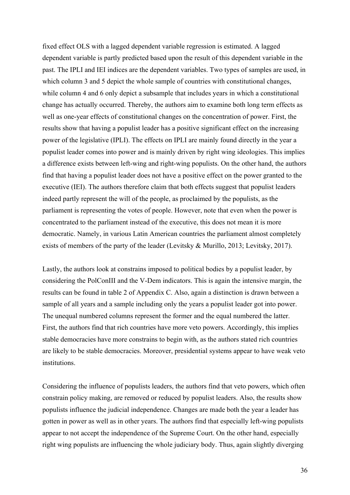fixed effect OLS with a lagged dependent variable regression is estimated. A lagged dependent variable is partly predicted based upon the result of this dependent variable in the past. The IPLI and IEI indices are the dependent variables. Two types of samples are used, in which column 3 and 5 depict the whole sample of countries with constitutional changes, while column 4 and 6 only depict a subsample that includes years in which a constitutional change has actually occurred. Thereby, the authors aim to examine both long term effects as well as one-year effects of constitutional changes on the concentration of power. First, the results show that having a populist leader has a positive significant effect on the increasing power of the legislative (IPLI). The effects on IPLI are mainly found directly in the year a populist leader comes into power and is mainly driven by right wing ideologies. This implies a difference exists between left-wing and right-wing populists. On the other hand, the authors find that having a populist leader does not have a positive effect on the power granted to the executive (IEI). The authors therefore claim that both effects suggest that populist leaders indeed partly represent the will of the people, as proclaimed by the populists, as the parliament is representing the votes of people. However, note that even when the power is concentrated to the parliament instead of the executive, this does not mean it is more democratic. Namely, in various Latin American countries the parliament almost completely exists of members of the party of the leader (Levitsky & Murillo, 2013; Levitsky, 2017).

Lastly, the authors look at constrains imposed to political bodies by a populist leader, by considering the PolConIII and the V-Dem indicators. This is again the intensive margin, the results can be found in table 2 of Appendix C. Also, again a distinction is drawn between a sample of all years and a sample including only the years a populist leader got into power. The unequal numbered columns represent the former and the equal numbered the latter. First, the authors find that rich countries have more veto powers. Accordingly, this implies stable democracies have more constrains to begin with, as the authors stated rich countries are likely to be stable democracies. Moreover, presidential systems appear to have weak veto institutions.

Considering the influence of populists leaders, the authors find that veto powers, which often constrain policy making, are removed or reduced by populist leaders. Also, the results show populists influence the judicial independence. Changes are made both the year a leader has gotten in power as well as in other years. The authors find that especially left-wing populists appear to not accept the independence of the Supreme Court. On the other hand, especially right wing populists are influencing the whole judiciary body. Thus, again slightly diverging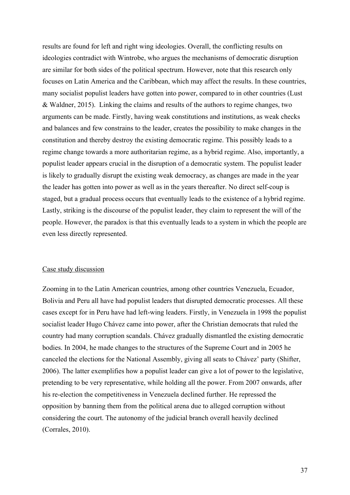results are found for left and right wing ideologies. Overall, the conflicting results on ideologies contradict with Wintrobe, who argues the mechanisms of democratic disruption are similar for both sides of the political spectrum. However, note that this research only focuses on Latin America and the Caribbean, which may affect the results. In these countries, many socialist populist leaders have gotten into power, compared to in other countries (Lust & Waldner, 2015). Linking the claims and results of the authors to regime changes, two arguments can be made. Firstly, having weak constitutions and institutions, as weak checks and balances and few constrains to the leader, creates the possibility to make changes in the constitution and thereby destroy the existing democratic regime. This possibly leads to a regime change towards a more authoritarian regime, as a hybrid regime. Also, importantly, a populist leader appears crucial in the disruption of a democratic system. The populist leader is likely to gradually disrupt the existing weak democracy, as changes are made in the year the leader has gotten into power as well as in the years thereafter. No direct self-coup is staged, but a gradual process occurs that eventually leads to the existence of a hybrid regime. Lastly, striking is the discourse of the populist leader, they claim to represent the will of the people. However, the paradox is that this eventually leads to a system in which the people are even less directly represented.

#### Case study discussion

Zooming in to the Latin American countries, among other countries Venezuela, Ecuador, Bolivia and Peru all have had populist leaders that disrupted democratic processes. All these cases except for in Peru have had left-wing leaders. Firstly, in Venezuela in 1998 the populist socialist leader Hugo Chávez came into power, after the Christian democrats that ruled the country had many corruption scandals. Chávez gradually dismantled the existing democratic bodies. In 2004, he made changes to the structures of the Supreme Court and in 2005 he canceled the elections for the National Assembly, giving all seats to Chávez' party (Shifter, 2006). The latter exemplifies how a populist leader can give a lot of power to the legislative, pretending to be very representative, while holding all the power. From 2007 onwards, after his re-election the competitiveness in Venezuela declined further. He repressed the opposition by banning them from the political arena due to alleged corruption without considering the court. The autonomy of the judicial branch overall heavily declined (Corrales, 2010).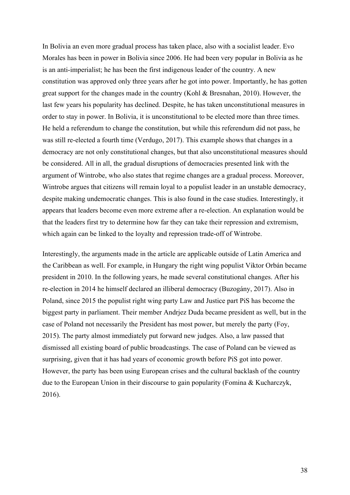In Bolivia an even more gradual process has taken place, also with a socialist leader. Evo Morales has been in power in Bolivia since 2006. He had been very popular in Bolivia as he is an anti-imperialist; he has been the first indigenous leader of the country. A new constitution was approved only three years after he got into power. Importantly, he has gotten great support for the changes made in the country (Kohl & Bresnahan, 2010). However, the last few years his popularity has declined. Despite, he has taken unconstitutional measures in order to stay in power. In Bolivia, it is unconstitutional to be elected more than three times. He held a referendum to change the constitution, but while this referendum did not pass, he was still re-elected a fourth time (Verdugo, 2017). This example shows that changes in a democracy are not only constitutional changes, but that also unconstitutional measures should be considered. All in all, the gradual disruptions of democracies presented link with the argument of Wintrobe, who also states that regime changes are a gradual process. Moreover, Wintrobe argues that citizens will remain loyal to a populist leader in an unstable democracy, despite making undemocratic changes. This is also found in the case studies. Interestingly, it appears that leaders become even more extreme after a re-election. An explanation would be that the leaders first try to determine how far they can take their repression and extremism, which again can be linked to the loyalty and repression trade-off of Wintrobe.

Interestingly, the arguments made in the article are applicable outside of Latin America and the Caribbean as well. For example, in Hungary the right wing populist Viktor Orbán became president in 2010. In the following years, he made several constitutional changes. After his re-election in 2014 he himself declared an illiberal democracy (Buzogány, 2017). Also in Poland, since 2015 the populist right wing party Law and Justice part PiS has become the biggest party in parliament. Their member Andrjez Duda became president as well, but in the case of Poland not necessarily the President has most power, but merely the party (Foy, 2015). The party almost immediately put forward new judges. Also, a law passed that dismissed all existing board of public broadcastings. The case of Poland can be viewed as surprising, given that it has had years of economic growth before PiS got into power. However, the party has been using European crises and the cultural backlash of the country due to the European Union in their discourse to gain popularity (Fomina & Kucharczyk, 2016).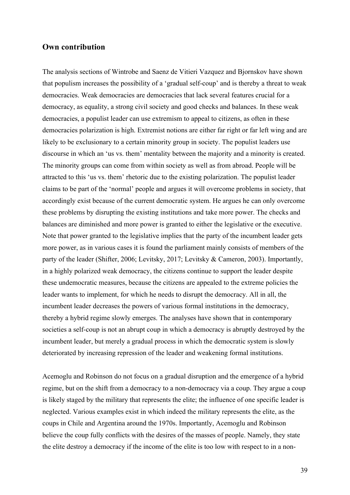## **Own contribution**

The analysis sections of Wintrobe and Saenz de Vitieri Vazquez and Bjornskov have shown that populism increases the possibility of a 'gradual self-coup' and is thereby a threat to weak democracies. Weak democracies are democracies that lack several features crucial for a democracy, as equality, a strong civil society and good checks and balances. In these weak democracies, a populist leader can use extremism to appeal to citizens, as often in these democracies polarization is high. Extremist notions are either far right or far left wing and are likely to be exclusionary to a certain minority group in society. The populist leaders use discourse in which an 'us vs. them' mentality between the majority and a minority is created. The minority groups can come from within society as well as from abroad. People will be attracted to this 'us vs. them' rhetoric due to the existing polarization. The populist leader claims to be part of the 'normal' people and argues it will overcome problems in society, that accordingly exist because of the current democratic system. He argues he can only overcome these problems by disrupting the existing institutions and take more power. The checks and balances are diminished and more power is granted to either the legislative or the executive. Note that power granted to the legislative implies that the party of the incumbent leader gets more power, as in various cases it is found the parliament mainly consists of members of the party of the leader (Shifter, 2006; Levitsky, 2017; Levitsky & Cameron, 2003). Importantly, in a highly polarized weak democracy, the citizens continue to support the leader despite these undemocratic measures, because the citizens are appealed to the extreme policies the leader wants to implement, for which he needs to disrupt the democracy. All in all, the incumbent leader decreases the powers of various formal institutions in the democracy, thereby a hybrid regime slowly emerges. The analyses have shown that in contemporary societies a self-coup is not an abrupt coup in which a democracy is abruptly destroyed by the incumbent leader, but merely a gradual process in which the democratic system is slowly deteriorated by increasing repression of the leader and weakening formal institutions.

Acemoglu and Robinson do not focus on a gradual disruption and the emergence of a hybrid regime, but on the shift from a democracy to a non-democracy via a coup. They argue a coup is likely staged by the military that represents the elite; the influence of one specific leader is neglected. Various examples exist in which indeed the military represents the elite, as the coups in Chile and Argentina around the 1970s. Importantly, Acemoglu and Robinson believe the coup fully conflicts with the desires of the masses of people. Namely, they state the elite destroy a democracy if the income of the elite is too low with respect to in a non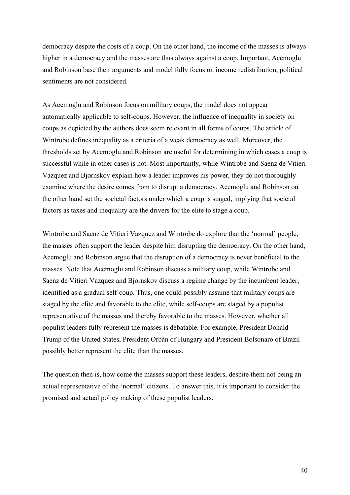democracy despite the costs of a coup. On the other hand, the income of the masses is always higher in a democracy and the masses are thus always against a coup. Important, Acemoglu and Robinson base their arguments and model fully focus on income redistribution, political sentiments are not considered.

As Acemoglu and Robinson focus on military coups, the model does not appear automatically applicable to self-coups. However, the influence of inequality in society on coups as depicted by the authors does seem relevant in all forms of coups. The article of Wintrobe defines inequality as a criteria of a weak democracy as well. Moreover, the thresholds set by Acemoglu and Robinson are useful for determining in which cases a coup is successful while in other cases is not. Most importantly, while Wintrobe and Saenz de Vitieri Vazquez and Bjornskov explain how a leader improves his power, they do not thoroughly examine where the desire comes from to disrupt a democracy. Acemoglu and Robinson on the other hand set the societal factors under which a coup is staged, implying that societal factors as taxes and inequality are the drivers for the elite to stage a coup.

Wintrobe and Saenz de Vitieri Vazquez and Wintrobe do explore that the 'normal' people, the masses often support the leader despite him disrupting the democracy. On the other hand, Acemoglu and Robinson argue that the disruption of a democracy is never beneficial to the masses. Note that Acemoglu and Robinson discuss a military coup, while Wintrobe and Saenz de Vitieri Vazquez and Bjornskov discuss a regime change by the incumbent leader, identified as a gradual self-coup. Thus, one could possibly assume that military coups are staged by the elite and favorable to the elite, while self-coups are staged by a populist representative of the masses and thereby favorable to the masses. However, whether all populist leaders fully represent the masses is debatable. For example, President Donald Trump of the United States, President Orbán of Hungary and President Bolsonaro of Brazil possibly better represent the elite than the masses.

The question then is, how come the masses support these leaders, despite them not being an actual representative of the 'normal' citizens. To answer this, it is important to consider the promised and actual policy making of these populist leaders.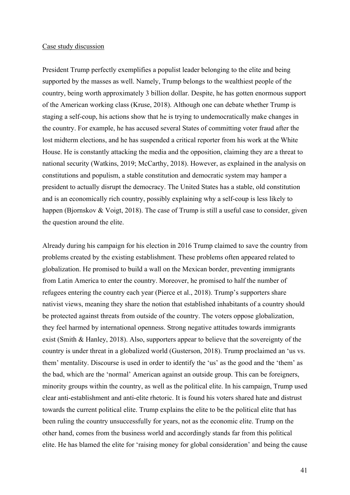#### Case study discussion

President Trump perfectly exemplifies a populist leader belonging to the elite and being supported by the masses as well. Namely, Trump belongs to the wealthiest people of the country, being worth approximately 3 billion dollar. Despite, he has gotten enormous support of the American working class (Kruse, 2018). Although one can debate whether Trump is staging a self-coup, his actions show that he is trying to undemocratically make changes in the country. For example, he has accused several States of committing voter fraud after the lost midterm elections, and he has suspended a critical reporter from his work at the White House. He is constantly attacking the media and the opposition, claiming they are a threat to national security (Watkins, 2019; McCarthy, 2018). However, as explained in the analysis on constitutions and populism, a stable constitution and democratic system may hamper a president to actually disrupt the democracy. The United States has a stable, old constitution and is an economically rich country, possibly explaining why a self-coup is less likely to happen (Bjornskov & Voigt, 2018). The case of Trump is still a useful case to consider, given the question around the elite.

Already during his campaign for his election in 2016 Trump claimed to save the country from problems created by the existing establishment. These problems often appeared related to globalization. He promised to build a wall on the Mexican border, preventing immigrants from Latin America to enter the country. Moreover, he promised to half the number of refugees entering the country each year (Pierce et al., 2018). Trump's supporters share nativist views, meaning they share the notion that established inhabitants of a country should be protected against threats from outside of the country. The voters oppose globalization, they feel harmed by international openness. Strong negative attitudes towards immigrants exist (Smith & Hanley, 2018). Also, supporters appear to believe that the sovereignty of the country is under threat in a globalized world (Gusterson, 2018). Trump proclaimed an 'us vs. them' mentality. Discourse is used in order to identify the 'us' as the good and the 'them' as the bad, which are the 'normal' American against an outside group. This can be foreigners, minority groups within the country, as well as the political elite. In his campaign, Trump used clear anti-establishment and anti-elite rhetoric. It is found his voters shared hate and distrust towards the current political elite. Trump explains the elite to be the political elite that has been ruling the country unsuccessfully for years, not as the economic elite. Trump on the other hand, comes from the business world and accordingly stands far from this political elite. He has blamed the elite for 'raising money for global consideration' and being the cause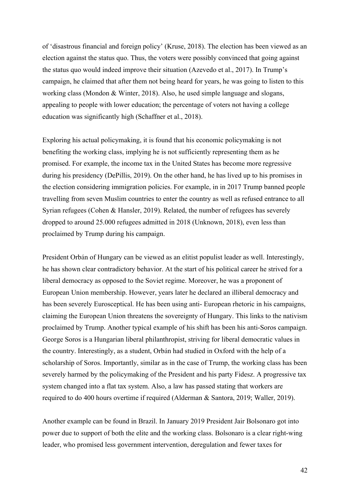of 'disastrous financial and foreign policy' (Kruse, 2018). The election has been viewed as an election against the status quo. Thus, the voters were possibly convinced that going against the status quo would indeed improve their situation (Azevedo et al., 2017). In Trump's campaign, he claimed that after them not being heard for years, he was going to listen to this working class (Mondon & Winter, 2018). Also, he used simple language and slogans, appealing to people with lower education; the percentage of voters not having a college education was significantly high (Schaffner et al., 2018).

Exploring his actual policymaking, it is found that his economic policymaking is not benefiting the working class, implying he is not sufficiently representing them as he promised. For example, the income tax in the United States has become more regressive during his presidency (DePillis, 2019). On the other hand, he has lived up to his promises in the election considering immigration policies. For example, in in 2017 Trump banned people travelling from seven Muslim countries to enter the country as well as refused entrance to all Syrian refugees (Cohen & Hansler, 2019). Related, the number of refugees has severely dropped to around 25.000 refugees admitted in 2018 (Unknown, 2018), even less than proclaimed by Trump during his campaign.

President Orbán of Hungary can be viewed as an elitist populist leader as well. Interestingly, he has shown clear contradictory behavior. At the start of his political career he strived for a liberal democracy as opposed to the Soviet regime. Moreover, he was a proponent of European Union membership. However, years later he declared an illiberal democracy and has been severely Eurosceptical. He has been using anti- European rhetoric in his campaigns, claiming the European Union threatens the sovereignty of Hungary. This links to the nativism proclaimed by Trump. Another typical example of his shift has been his anti-Soros campaign. George Soros is a Hungarian liberal philanthropist, striving for liberal democratic values in the country. Interestingly, as a student, Orbán had studied in Oxford with the help of a scholarship of Soros. Importantly, similar as in the case of Trump, the working class has been severely harmed by the policymaking of the President and his party Fidesz. A progressive tax system changed into a flat tax system. Also, a law has passed stating that workers are required to do 400 hours overtime if required (Alderman & Santora, 2019; Waller, 2019).

Another example can be found in Brazil. In January 2019 President Jair Bolsonaro got into power due to support of both the elite and the working class. Bolsonaro is a clear right-wing leader, who promised less government intervention, deregulation and fewer taxes for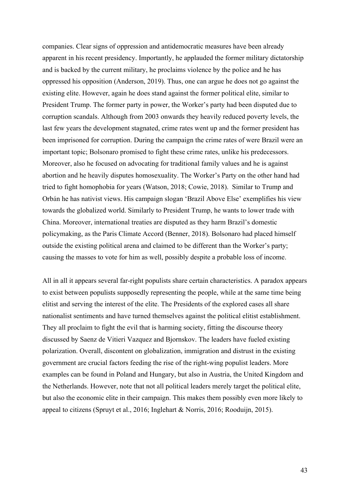companies. Clear signs of oppression and antidemocratic measures have been already apparent in his recent presidency. Importantly, he applauded the former military dictatorship and is backed by the current military, he proclaims violence by the police and he has oppressed his opposition (Anderson, 2019). Thus, one can argue he does not go against the existing elite. However, again he does stand against the former political elite, similar to President Trump. The former party in power, the Worker's party had been disputed due to corruption scandals. Although from 2003 onwards they heavily reduced poverty levels, the last few years the development stagnated, crime rates went up and the former president has been imprisoned for corruption. During the campaign the crime rates of were Brazil were an important topic; Bolsonaro promised to fight these crime rates, unlike his predecessors. Moreover, also he focused on advocating for traditional family values and he is against abortion and he heavily disputes homosexuality. The Worker's Party on the other hand had tried to fight homophobia for years (Watson, 2018; Cowie, 2018). Similar to Trump and Orbán he has nativist views. His campaign slogan 'Brazil Above Else' exemplifies his view towards the globalized world. Similarly to President Trump, he wants to lower trade with China. Moreover, international treaties are disputed as they harm Brazil's domestic policymaking, as the Paris Climate Accord (Benner, 2018). Bolsonaro had placed himself outside the existing political arena and claimed to be different than the Worker's party; causing the masses to vote for him as well, possibly despite a probable loss of income.

All in all it appears several far-right populists share certain characteristics. A paradox appears to exist between populists supposedly representing the people, while at the same time being elitist and serving the interest of the elite. The Presidents of the explored cases all share nationalist sentiments and have turned themselves against the political elitist establishment. They all proclaim to fight the evil that is harming society, fitting the discourse theory discussed by Saenz de Vitieri Vazquez and Bjornskov. The leaders have fueled existing polarization. Overall, discontent on globalization, immigration and distrust in the existing government are crucial factors feeding the rise of the right-wing populist leaders. More examples can be found in Poland and Hungary, but also in Austria, the United Kingdom and the Netherlands. However, note that not all political leaders merely target the political elite, but also the economic elite in their campaign. This makes them possibly even more likely to appeal to citizens (Spruyt et al., 2016; Inglehart & Norris, 2016; Rooduijn, 2015).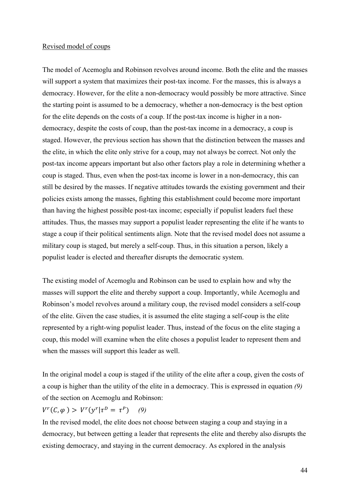#### Revised model of coups

The model of Acemoglu and Robinson revolves around income. Both the elite and the masses will support a system that maximizes their post-tax income. For the masses, this is always a democracy. However, for the elite a non-democracy would possibly be more attractive. Since the starting point is assumed to be a democracy, whether a non-democracy is the best option for the elite depends on the costs of a coup. If the post-tax income is higher in a nondemocracy, despite the costs of coup, than the post-tax income in a democracy, a coup is staged. However, the previous section has shown that the distinction between the masses and the elite, in which the elite only strive for a coup, may not always be correct. Not only the post-tax income appears important but also other factors play a role in determining whether a coup is staged. Thus, even when the post-tax income is lower in a non-democracy, this can still be desired by the masses. If negative attitudes towards the existing government and their policies exists among the masses, fighting this establishment could become more important than having the highest possible post-tax income; especially if populist leaders fuel these attitudes. Thus, the masses may support a populist leader representing the elite if he wants to stage a coup if their political sentiments align. Note that the revised model does not assume a military coup is staged, but merely a self-coup. Thus, in this situation a person, likely a populist leader is elected and thereafter disrupts the democratic system.

The existing model of Acemoglu and Robinson can be used to explain how and why the masses will support the elite and thereby support a coup. Importantly, while Acemoglu and Robinson's model revolves around a military coup, the revised model considers a self-coup of the elite. Given the case studies, it is assumed the elite staging a self-coup is the elite represented by a right-wing populist leader. Thus, instead of the focus on the elite staging a coup, this model will examine when the elite choses a populist leader to represent them and when the masses will support this leader as well.

In the original model a coup is staged if the utility of the elite after a coup, given the costs of a coup is higher than the utility of the elite in a democracy. This is expressed in equation *(9)* of the section on Acemoglu and Robinson:

 $V^{r}(C, \varphi) > V^{r}(y^{r}|\tau^{D} = \tau^{P})$  (9)

In the revised model, the elite does not choose between staging a coup and staying in a democracy, but between getting a leader that represents the elite and thereby also disrupts the existing democracy, and staying in the current democracy. As explored in the analysis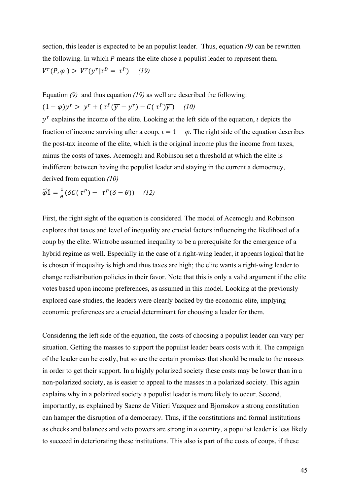section, this leader is expected to be an populist leader. Thus, equation *(9)* can be rewritten the following. In which  $P$  means the elite chose a populist leader to represent them.  $V^r(P, \varphi) > V^r(\gamma^r | \tau^D = \tau^P)$  (19)

Equation *(9)* and thus equation *(19)* as well are described the following:  $(1 - \varphi)v^r > v^r + (\tau^p(\overline{v} - v^r) - C(\tau^p)\overline{v})$  (10)

 $y<sup>r</sup>$  explains the income of the elite. Looking at the left side of the equation, *l* depicts the fraction of income surviving after a coup,  $i = 1 - \varphi$ . The right side of the equation describes the post-tax income of the elite, which is the original income plus the income from taxes, minus the costs of taxes. Acemoglu and Robinson set a threshold at which the elite is indifferent between having the populist leader and staying in the current a democracy, derived from equation *(10)*

$$
\widehat{\varphi 1} = \frac{1}{\theta} (\delta C(\tau^P) - \tau^P (\delta - \theta)) \quad (12)
$$

First, the right sight of the equation is considered. The model of Acemoglu and Robinson explores that taxes and level of inequality are crucial factors influencing the likelihood of a coup by the elite. Wintrobe assumed inequality to be a prerequisite for the emergence of a hybrid regime as well. Especially in the case of a right-wing leader, it appears logical that he is chosen if inequality is high and thus taxes are high; the elite wants a right-wing leader to change redistribution policies in their favor. Note that this is only a valid argument if the elite votes based upon income preferences, as assumed in this model. Looking at the previously explored case studies, the leaders were clearly backed by the economic elite, implying economic preferences are a crucial determinant for choosing a leader for them.

Considering the left side of the equation, the costs of choosing a populist leader can vary per situation. Getting the masses to support the populist leader bears costs with it. The campaign of the leader can be costly, but so are the certain promises that should be made to the masses in order to get their support. In a highly polarized society these costs may be lower than in a non-polarized society, as is easier to appeal to the masses in a polarized society. This again explains why in a polarized society a populist leader is more likely to occur. Second, importantly, as explained by Saenz de Vitieri Vazquez and Bjornskov a strong constitution can hamper the disruption of a democracy. Thus, if the constitutions and formal institutions as checks and balances and veto powers are strong in a country, a populist leader is less likely to succeed in deteriorating these institutions. This also is part of the costs of coups, if these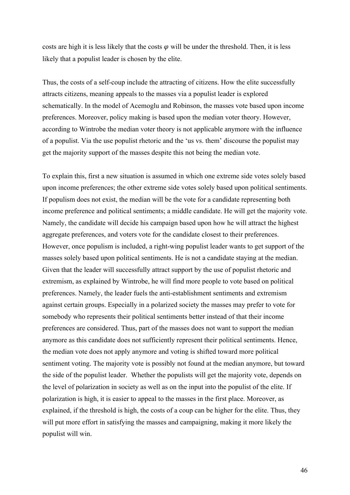costs are high it is less likely that the costs  $\varphi$  will be under the threshold. Then, it is less likely that a populist leader is chosen by the elite.

Thus, the costs of a self-coup include the attracting of citizens. How the elite successfully attracts citizens, meaning appeals to the masses via a populist leader is explored schematically. In the model of Acemoglu and Robinson, the masses vote based upon income preferences. Moreover, policy making is based upon the median voter theory. However, according to Wintrobe the median voter theory is not applicable anymore with the influence of a populist. Via the use populist rhetoric and the 'us vs. them' discourse the populist may get the majority support of the masses despite this not being the median vote.

To explain this, first a new situation is assumed in which one extreme side votes solely based upon income preferences; the other extreme side votes solely based upon political sentiments. If populism does not exist, the median will be the vote for a candidate representing both income preference and political sentiments; a middle candidate. He will get the majority vote. Namely, the candidate will decide his campaign based upon how he will attract the highest aggregate preferences, and voters vote for the candidate closest to their preferences. However, once populism is included, a right-wing populist leader wants to get support of the masses solely based upon political sentiments. He is not a candidate staying at the median. Given that the leader will successfully attract support by the use of populist rhetoric and extremism, as explained by Wintrobe, he will find more people to vote based on political preferences. Namely, the leader fuels the anti-establishment sentiments and extremism against certain groups. Especially in a polarized society the masses may prefer to vote for somebody who represents their political sentiments better instead of that their income preferences are considered. Thus, part of the masses does not want to support the median anymore as this candidate does not sufficiently represent their political sentiments. Hence, the median vote does not apply anymore and voting is shifted toward more political sentiment voting. The majority vote is possibly not found at the median anymore, but toward the side of the populist leader. Whether the populists will get the majority vote, depends on the level of polarization in society as well as on the input into the populist of the elite. If polarization is high, it is easier to appeal to the masses in the first place. Moreover, as explained, if the threshold is high, the costs of a coup can be higher for the elite. Thus, they will put more effort in satisfying the masses and campaigning, making it more likely the populist will win.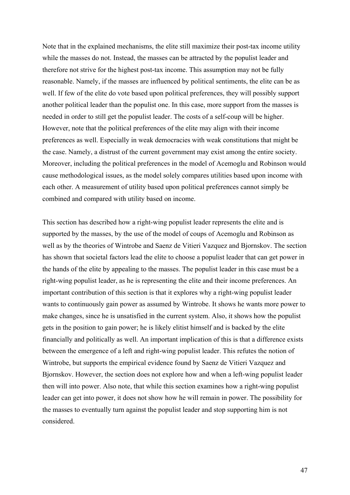Note that in the explained mechanisms, the elite still maximize their post-tax income utility while the masses do not. Instead, the masses can be attracted by the populist leader and therefore not strive for the highest post-tax income. This assumption may not be fully reasonable. Namely, if the masses are influenced by political sentiments, the elite can be as well. If few of the elite do vote based upon political preferences, they will possibly support another political leader than the populist one. In this case, more support from the masses is needed in order to still get the populist leader. The costs of a self-coup will be higher. However, note that the political preferences of the elite may align with their income preferences as well. Especially in weak democracies with weak constitutions that might be the case. Namely, a distrust of the current government may exist among the entire society. Moreover, including the political preferences in the model of Acemoglu and Robinson would cause methodological issues, as the model solely compares utilities based upon income with each other. A measurement of utility based upon political preferences cannot simply be combined and compared with utility based on income.

This section has described how a right-wing populist leader represents the elite and is supported by the masses, by the use of the model of coups of Acemoglu and Robinson as well as by the theories of Wintrobe and Saenz de Vitieri Vazquez and Bjornskov. The section has shown that societal factors lead the elite to choose a populist leader that can get power in the hands of the elite by appealing to the masses. The populist leader in this case must be a right-wing populist leader, as he is representing the elite and their income preferences. An important contribution of this section is that it explores why a right-wing populist leader wants to continuously gain power as assumed by Wintrobe. It shows he wants more power to make changes, since he is unsatisfied in the current system. Also, it shows how the populist gets in the position to gain power; he is likely elitist himself and is backed by the elite financially and politically as well. An important implication of this is that a difference exists between the emergence of a left and right-wing populist leader. This refutes the notion of Wintrobe, but supports the empirical evidence found by Saenz de Vitieri Vazquez and Bjornskov. However, the section does not explore how and when a left-wing populist leader then will into power. Also note, that while this section examines how a right-wing populist leader can get into power, it does not show how he will remain in power. The possibility for the masses to eventually turn against the populist leader and stop supporting him is not considered.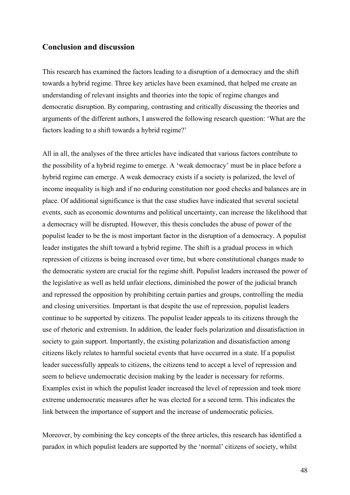## **Conclusion and discussion**

This research has examined the factors leading to a disruption of a democracy and the shift towards a hybrid regime. Three key articles have been examined, that helped me create an understanding of relevant insights and theories into the topic of regime changes and democratic disruption. By comparing, contrasting and critically discussing the theories and arguments of the different authors, I answered the following research question: 'What are the factors leading to a shift towards a hybrid regime?'

All in all, the analyses of the three articles have indicated that various factors contribute to the possibility of a hybrid regime to emerge. A 'weak democracy' must be in place before a hybrid regime can emerge. A weak democracy exists if a society is polarized, the level of income inequality is high and if no enduring constitution nor good checks and balances are in place. Of additional significance is that the case studies have indicated that several societal events, such as economic downturns and political uncertainty, can increase the likelihood that a democracy will be disrupted. However, this thesis concludes the abuse of power of the populist leader to be the is most important factor in the disruption of a democracy. A populist leader instigates the shift toward a hybrid regime. The shift is a gradual process in which repression of citizens is being increased over time, but where constitutional changes made to the democratic system are crucial for the regime shift. Populist leaders increased the power of the legislative as well as held unfair elections, diminished the power of the judicial branch and repressed the opposition by prohibiting certain parties and groups, controlling the media and closing universities. Important is that despite the use of repression, populist leaders continue to be supported by citizens. The populist leader appeals to its citizens through the use of rhetoric and extremism. In addition, the leader fuels polarization and dissatisfaction in society to gain support. Importantly, the existing polarization and dissatisfaction among citizens likely relates to harmful societal events that have occurred in a state. If a populist leader successfully appeals to citizens, the citizens tend to accept a level of repression and seem to believe undemocratic decision making by the leader is necessary for reforms. Examples exist in which the populist leader increased the level of repression and took more extreme undemocratic measures after he was elected for a second term. This indicates the link between the importance of support and the increase of undemocratic policies.

Moreover, by combining the key concepts of the three articles, this research has identified a paradox in which populist leaders are supported by the 'normal' citizens of society, whilst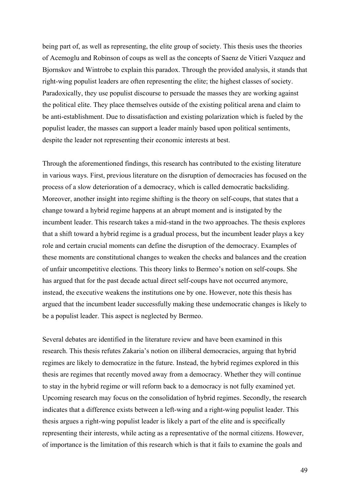being part of, as well as representing, the elite group of society. This thesis uses the theories of Acemoglu and Robinson of coups as well as the concepts of Saenz de Vitieri Vazquez and Bjornskov and Wintrobe to explain this paradox. Through the provided analysis, it stands that right-wing populist leaders are often representing the elite; the highest classes of society. Paradoxically, they use populist discourse to persuade the masses they are working against the political elite. They place themselves outside of the existing political arena and claim to be anti-establishment. Due to dissatisfaction and existing polarization which is fueled by the populist leader, the masses can support a leader mainly based upon political sentiments, despite the leader not representing their economic interests at best.

Through the aforementioned findings, this research has contributed to the existing literature in various ways. First, previous literature on the disruption of democracies has focused on the process of a slow deterioration of a democracy, which is called democratic backsliding. Moreover, another insight into regime shifting is the theory on self-coups, that states that a change toward a hybrid regime happens at an abrupt moment and is instigated by the incumbent leader. This research takes a mid-stand in the two approaches. The thesis explores that a shift toward a hybrid regime is a gradual process, but the incumbent leader plays a key role and certain crucial moments can define the disruption of the democracy. Examples of these moments are constitutional changes to weaken the checks and balances and the creation of unfair uncompetitive elections. This theory links to Bermeo's notion on self-coups. She has argued that for the past decade actual direct self-coups have not occurred anymore, instead, the executive weakens the institutions one by one. However, note this thesis has argued that the incumbent leader successfully making these undemocratic changes is likely to be a populist leader. This aspect is neglected by Bermeo.

Several debates are identified in the literature review and have been examined in this research. This thesis refutes Zakaria's notion on illiberal democracies, arguing that hybrid regimes are likely to democratize in the future. Instead, the hybrid regimes explored in this thesis are regimes that recently moved away from a democracy. Whether they will continue to stay in the hybrid regime or will reform back to a democracy is not fully examined yet. Upcoming research may focus on the consolidation of hybrid regimes. Secondly, the research indicates that a difference exists between a left-wing and a right-wing populist leader. This thesis argues a right-wing populist leader is likely a part of the elite and is specifically representing their interests, while acting as a representative of the normal citizens. However, of importance is the limitation of this research which is that it fails to examine the goals and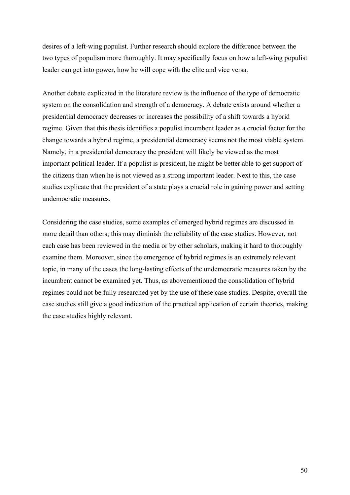desires of a left-wing populist. Further research should explore the difference between the two types of populism more thoroughly. It may specifically focus on how a left-wing populist leader can get into power, how he will cope with the elite and vice versa.

Another debate explicated in the literature review is the influence of the type of democratic system on the consolidation and strength of a democracy. A debate exists around whether a presidential democracy decreases or increases the possibility of a shift towards a hybrid regime. Given that this thesis identifies a populist incumbent leader as a crucial factor for the change towards a hybrid regime, a presidential democracy seems not the most viable system. Namely, in a presidential democracy the president will likely be viewed as the most important political leader. If a populist is president, he might be better able to get support of the citizens than when he is not viewed as a strong important leader. Next to this, the case studies explicate that the president of a state plays a crucial role in gaining power and setting undemocratic measures.

Considering the case studies, some examples of emerged hybrid regimes are discussed in more detail than others; this may diminish the reliability of the case studies. However, not each case has been reviewed in the media or by other scholars, making it hard to thoroughly examine them. Moreover, since the emergence of hybrid regimes is an extremely relevant topic, in many of the cases the long-lasting effects of the undemocratic measures taken by the incumbent cannot be examined yet. Thus, as abovementioned the consolidation of hybrid regimes could not be fully researched yet by the use of these case studies. Despite, overall the case studies still give a good indication of the practical application of certain theories, making the case studies highly relevant.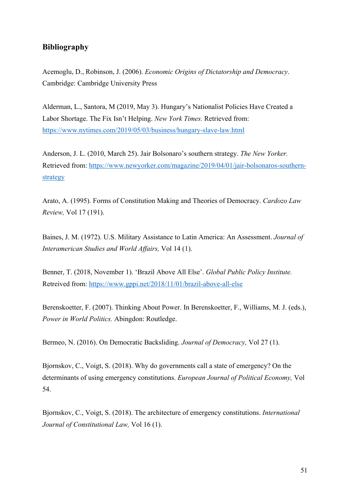# **Bibliography**

Acemoglu, D., Robinson, J. (2006). *Economic Origins of Dictatorship and Democracy*. Cambridge: Cambridge University Press

Alderman, L., Santora, M (2019, May 3). Hungary's Nationalist Policies Have Created a Labor Shortage. The Fix Isn't Helping. *New York Times.* Retrieved from: https://www.nytimes.com/2019/05/03/business/hungary-slave-law.html

Anderson, J. L. (2010, March 25). Jair Bolsonaro's southern strategy. *The New Yorker.*  Retrieved from: https://www.newyorker.com/magazine/2019/04/01/jair-bolsonaros-southernstrategy

Arato, A. (1995). Forms of Constitution Making and Theories of Democracy. *Cardozo Law Review,* Vol 17 (191).

Baines, J. M. (1972). U.S. Military Assistance to Latin America: An Assessment. *Journal of Interamerican Studies and World Affairs,* Vol 14 (1).

Benner, T. (2018, November 1). 'Brazil Above All Else'. *Global Public Policy Institute.*  Retreived from: https://www.gppi.net/2018/11/01/brazil-above-all-else

Berenskoetter, F. (2007). Thinking About Power. In Berenskoetter, F., Williams, M. J. (eds.), *Power in World Politics.* Abingdon: Routledge.

Bermeo, N. (2016). On Democratic Backsliding. *Journal of Democracy,* Vol 27 (1).

Bjornskov, C., Voigt, S. (2018). Why do governments call a state of emergency? On the determinants of using emergency constitutions. *European Journal of Political Economy,* Vol 54.

Bjornskov, C., Voigt, S. (2018). The architecture of emergency constitutions. *International Journal of Constitutional Law,* Vol 16 (1).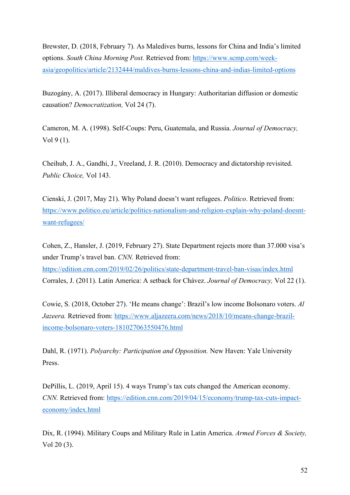Brewster, D. (2018, February 7). As Maledives burns, lessons for China and India's limited options. *South China Morning Post.* Retrieved from: https://www.scmp.com/weekasia/geopolitics/article/2132444/maldives-burns-lessons-china-and-indias-limited-options

Buzogány, A. (2017). Illiberal democracy in Hungary: Authoritarian diffusion or domestic causation? *Democratization,* Vol 24 (7).

Cameron, M. A. (1998). Self-Coups: Peru, Guatemala, and Russia. *Journal of Democracy,*  Vol 9 (1).

Cheihub, J. A., Gandhi, J., Vreeland, J. R. (2010). Democracy and dictatorship revisited. *Public Choice,* Vol 143.

Cienski, J. (2017, May 21). Why Poland doesn't want refugees. *Politico*. Retrieved from: https://www.politico.eu/article/politics-nationalism-and-religion-explain-why-poland-doesntwant-refugees/

Cohen, Z., Hansler, J. (2019, February 27). State Department rejects more than 37.000 visa's under Trump's travel ban. *CNN.* Retrieved from: https://edition.cnn.com/2019/02/26/politics/state-department-travel-ban-visas/index.html Corrales, J. (2011). Latin America: A setback for Chávez. *Journal of Democracy,* Vol 22 (1).

Cowie, S. (2018, October 27). 'He means change': Brazil's low income Bolsonaro voters. *Al Jazeera.* Retrieved from: https://www.aljazeera.com/news/2018/10/means-change-brazilincome-bolsonaro-voters-181027063550476.html

Dahl, R. (1971). *Polyarchy: Participation and Opposition.* New Haven: Yale University Press.

DePillis, L. (2019, April 15). 4 ways Trump's tax cuts changed the American economy. *CNN.* Retrieved from: https://edition.cnn.com/2019/04/15/economy/trump-tax-cuts-impacteconomy/index.html

Dix, R. (1994). Military Coups and Military Rule in Latin America. *Armed Forces & Society,*  Vol 20 (3).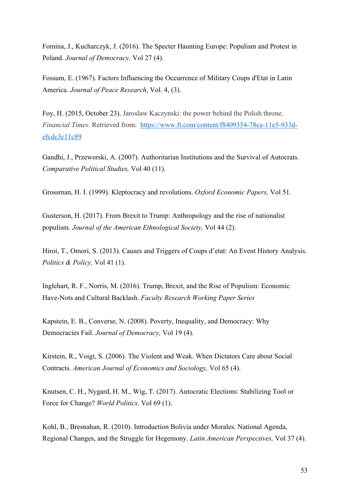Fomina, J., Kucharczyk, J. (2016). The Specter Haunting Europe: Populism and Protest in Poland. *Journal of Democracy,* Vol 27 (4).

Fossum, E. (1967). Factors Influencing the Occurrence of Military Coups d'Etat in Latin America. *Journal of Peace Research*, Vol. 4, (3).

Foy, H. (2015, October 23). Jaroslaw Kaczynski: the power behind the Polish throne. *Financial Times.* Retrieved from: https://www.ft.com/content/f8409354-78ca-11e5-933defcdc3c11c89

Gandhi, J., Przeworski, A. (2007). Authoritarian Institutions and the Survival of Autocrats. *Comparative Political Studies,* Vol 40 (11).

Grossman, H. I. (1999). Kleptocracy and revolutions. *Oxford Economic Papers,* Vol 51.

Gusterson, H. (2017). From Brexit to Trump: Anthropology and the rise of nationalist populism. *Journal of the American Ethnological Society,* Vol 44 (2).

Hiroi, T., Omori, S. (2013). Causes and Triggers of Coups d'etat: An Event History Analysis. *Politics & Policy,* Vol 41 (1).

Inglehart, R. F., Norris, M. (2016). Trump, Brexit, and the Rise of Populism: Economic Have-Nots and Cultural Backlash. *Faculty Research Working Paper Series*

Kapstein, E. B., Converse, N. (2008). Poverty, Inequality, and Democracy: Why Democracies Fail. *Journal of Democracy,* Vol 19 (4).

Kirstein, R., Voigt, S. (2006). The Violent and Weak. When Dictators Care about Social Contracts. *American Journal of Economics and Sociology,* Vol 65 (4).

Knutsen, C. H., Nygard, H. M., Wig, T. (2017). Autocratic Elections: Stabilizing Tool or Force for Change? *World Politics,* Vol 69 (1).

Kohl, B., Bresnahan, R. (2010). Introduction Bolivia under Morales. National Agenda, Regional Changes, and the Struggle for Hegemony. *Latin American Perspectives,* Vol 37 (4).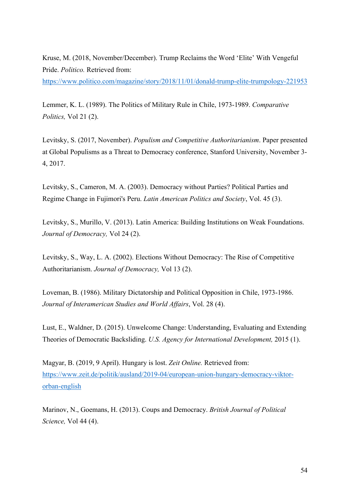Kruse, M. (2018, November/December). Trump Reclaims the Word 'Elite' With Vengeful Pride. *Politico.* Retrieved from:

https://www.politico.com/magazine/story/2018/11/01/donald-trump-elite-trumpology-221953

Lemmer, K. L. (1989). The Politics of Military Rule in Chile, 1973-1989. *Comparative Politics,* Vol 21 (2).

Levitsky, S. (2017, November). *Populism and Competitive Authoritarianism*. Paper presented at Global Populisms as a Threat to Democracy conference, Stanford University, November 3- 4, 2017.

Levitsky, S., Cameron, M. A. (2003). Democracy without Parties? Political Parties and Regime Change in Fujimori's Peru. *Latin American Politics and Society*, Vol. 45 (3).

Levitsky, S., Murillo, V. (2013). Latin America: Building Institutions on Weak Foundations. *Journal of Democracy,* Vol 24 (2).

Levitsky, S., Way, L. A. (2002). Elections Without Democracy: The Rise of Competitive Authoritarianism. *Journal of Democracy,* Vol 13 (2).

Loveman, B. (1986). Military Dictatorship and Political Opposition in Chile, 1973-1986. *Journal of Interamerican Studies and World Affairs*, Vol. 28 (4).

Lust, E., Waldner, D. (2015). Unwelcome Change: Understanding, Evaluating and Extending Theories of Democratic Backsliding. *U.S. Agency for International Development,* 2015 (1).

Magyar, B. (2019, 9 April). Hungary is lost. *Zeit Online.* Retrieved from: https://www.zeit.de/politik/ausland/2019-04/european-union-hungary-democracy-viktororban-english

Marinov, N., Goemans, H. (2013). Coups and Democracy. *British Journal of Political Science,* Vol 44 (4).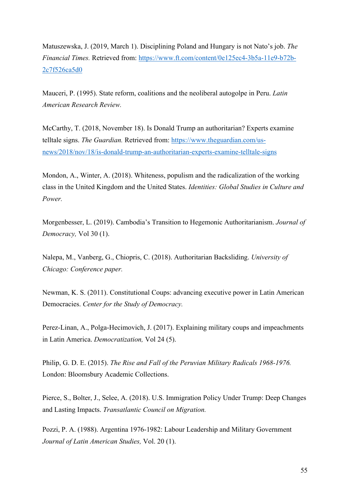Matuszewska, J. (2019, March 1). Disciplining Poland and Hungary is not Nato's job. *The Financial Times.* Retrieved from: https://www.ft.com/content/0e125ec4-3b5a-11e9-b72b-2c7f526ca5d0

Mauceri, P. (1995). State reform, coalitions and the neoliberal autogolpe in Peru. *Latin American Research Review.* 

McCarthy, T. (2018, November 18). Is Donald Trump an authoritarian? Experts examine telltale signs. *The Guardian.* Retrieved from: https://www.theguardian.com/usnews/2018/nov/18/is-donald-trump-an-authoritarian-experts-examine-telltale-signs

Mondon, A., Winter, A. (2018). Whiteness, populism and the radicalization of the working class in the United Kingdom and the United States. *Identities: Global Studies in Culture and Power.*

Morgenbesser, L. (2019). Cambodia's Transition to Hegemonic Authoritarianism. *Journal of Democracy,* Vol 30 (1).

Nalepa, M., Vanberg, G., Chiopris, C. (2018). Authoritarian Backsliding. *University of Chicago: Conference paper.*

Newman, K. S. (2011). Constitutional Coups: advancing executive power in Latin American Democracies. *Center for the Study of Democracy.*

Perez-Linan, A., Polga-Hecimovich, J. (2017). Explaining military coups and impeachments in Latin America. *Democratization,* Vol 24 (5).

Philip, G. D. E. (2015). *The Rise and Fall of the Peruvian Military Radicals 1968-1976.*  London: Bloomsbury Academic Collections.

Pierce, S., Bolter, J., Selee, A. (2018). U.S. Immigration Policy Under Trump: Deep Changes and Lasting Impacts. *Transatlantic Council on Migration.*

Pozzi, P. A. (1988). Argentina 1976-1982: Labour Leadership and Military Government *Journal of Latin American Studies,* Vol. 20 (1).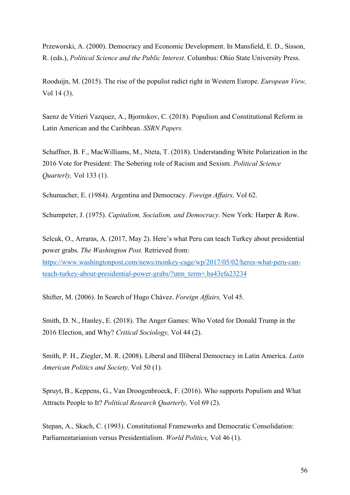Przeworski, A. (2000). Democracy and Economic Development. In Mansfield, E. D., Sisson, R. (eds.), *Political Science and the Public Interest.* Columbus: Ohio State University Press.

Rooduijn, M. (2015). The rise of the populist radict right in Western Europe. *European View,*  Vol 14 (3).

Saenz de Vitieri Vazquez, A., Bjornskov, C. (2018). Populism and Constitutional Reform in Latin American and the Caribbean. *SSRN Papers.*

Schaffner, B. F., MacWilliams, M., Nteta, T. (2018). Understanding White Polarization in the 2016 Vote for President: The Sobering role of Racism and Sexism. *Political Science Quarterly,* Vol 133 (1).

Schumacher, E. (1984). Argentina and Democracy. *Foreign Affairs,* Vol 62.

Schumpeter, J. (1975). *Capitalism, Socialism, and Democracy.* New York: Harper & Row.

Selcuk, O., Arraras, A. (2017, May 2). Here's what Peru can teach Turkey about presidential power grabs. *The Washington Post.* Retrieved from: https://www.washingtonpost.com/news/monkey-cage/wp/2017/05/02/heres-what-peru-canteach-turkey-about-presidential-power-grabs/?utm\_term=.ba43efa23234

Shifter, M. (2006). In Search of Hugo Chávez. *Foreign Affairs,* Vol 45.

Smith, D. N., Hanley, E. (2018). The Anger Games: Who Voted for Donald Trump in the 2016 Election, and Why? *Critical Sociology,* Vol 44 (2).

Smith, P. H., Ziegler, M. R. (2008). Liberal and Illiberal Democracy in Latin America. *Latin American Politics and Society,* Vol 50 (1).

Spruyt, B., Keppens, G., Van Droogenbroeck, F. (2016). Who supports Populism and What Attracts People to It? *Political Research Quarterly,* Vol 69 (2).

Stepan, A., Skach, C. (1993). Constitutional Frameworks and Democratic Consolidation: Parliamentarianism versus Presidentialism. *World Politics,* Vol 46 (1).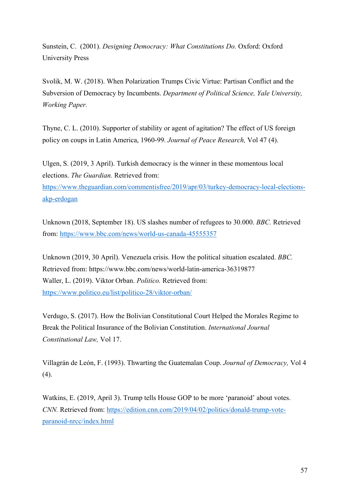Sunstein, C. (2001). *Designing Democracy: What Constitutions Do.* Oxford: Oxford University Press

Svolik, M. W. (2018). When Polarization Trumps Civic Virtue: Partisan Conflict and the Subversion of Democracy by Incumbents. *Department of Political Science, Yale University, Working Paper.*

Thyne, C. L. (2010). Supporter of stability or agent of agitation? The effect of US foreign policy on coups in Latin America, 1960-99. *Journal of Peace Research,* Vol 47 (4).

Ulgen, S. (2019, 3 April). Turkish democracy is the winner in these momentous local elections. *The Guardian.* Retrieved from: https://www.theguardian.com/commentisfree/2019/apr/03/turkey-democracy-local-electionsakp-erdogan

Unknown (2018, September 18). US slashes number of refugees to 30.000. *BBC.* Retrieved from: https://www.bbc.com/news/world-us-canada-45555357

Unknown (2019, 30 April). Venezuela crisis. How the political situation escalated. *BBC.*  Retrieved from: https://www.bbc.com/news/world-latin-america-36319877 Waller, L. (2019). Viktor Orban. *Politico.* Retrieved from: https://www.politico.eu/list/politico-28/viktor-orban/

Verdugo, S. (2017). How the Bolivian Constitutional Court Helped the Morales Regime to Break the Political Insurance of the Bolivian Constitution. *International Journal Constitutional Law,* Vol 17.

Villagrán de León, F. (1993). Thwarting the Guatemalan Coup. *Journal of Democracy,* Vol 4 (4).

Watkins, E. (2019, April 3). Trump tells House GOP to be more 'paranoid' about votes. *CNN.* Retrieved from: https://edition.cnn.com/2019/04/02/politics/donald-trump-voteparanoid-nrcc/index.html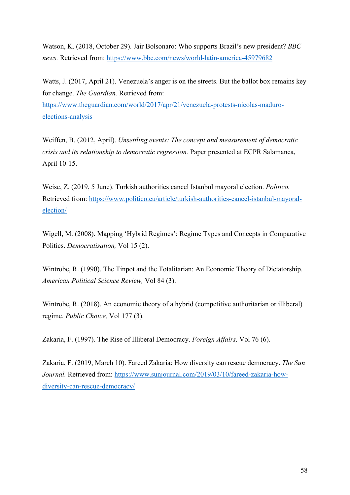Watson, K. (2018, October 29). Jair Bolsonaro: Who supports Brazil's new president? *BBC news.* Retrieved from: https://www.bbc.com/news/world-latin-america-45979682

Watts, J. (2017, April 21). Venezuela's anger is on the streets. But the ballot box remains key for change. *The Guardian.* Retrieved from: https://www.theguardian.com/world/2017/apr/21/venezuela-protests-nicolas-maduroelections-analysis

Weiffen, B. (2012, April). *Unsettling events: The concept and measurement of democratic crisis and its relationship to democratic regression.* Paper presented at ECPR Salamanca, April 10-15.

Weise, Z. (2019, 5 June). Turkish authorities cancel Istanbul mayoral election. *Politico.*  Retrieved from: https://www.politico.eu/article/turkish-authorities-cancel-istanbul-mayoralelection/

Wigell, M. (2008). Mapping 'Hybrid Regimes': Regime Types and Concepts in Comparative Politics. *Democratisation,* Vol 15 (2).

Wintrobe, R. (1990). The Tinpot and the Totalitarian: An Economic Theory of Dictatorship. *American Political Science Review,* Vol 84 (3).

Wintrobe, R. (2018). An economic theory of a hybrid (competitive authoritarian or illiberal) regime. *Public Choice,* Vol 177 (3).

Zakaria, F. (1997). The Rise of Illiberal Democracy. *Foreign Affairs,* Vol 76 (6).

Zakaria, F. (2019, March 10). Fareed Zakaria: How diversity can rescue democracy. *The Sun Journal.* Retrieved from: https://www.sunjournal.com/2019/03/10/fareed-zakaria-howdiversity-can-rescue-democracy/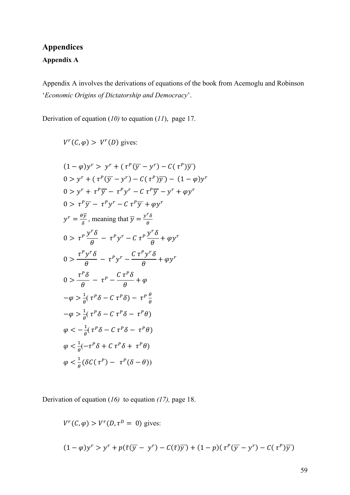# **Appendices Appendix A**

Appendix A involves the derivations of equations of the book from Acemoglu and Robinson '*Economic Origins of Dictatorship and Democracy*'.

Derivation of equation (*10)* to equation (*11*), page 17.

 $V^r(C, \varphi) > V^r(D)$  gives:

$$
(1 - \varphi)y^r > y^r + (\tau^p(\overline{y} - y^r) - C(\tau^p)\overline{y})
$$
  
\n
$$
0 > y^r + (\tau^p(\overline{y} - y^r) - C(\tau^p)\overline{y}) - (1 - \varphi)y^r
$$
  
\n
$$
0 > y^r + \tau^p\overline{y} - \tau^p y^r - C \tau^p \overline{y} - y^r + \varphi y^r
$$
  
\n
$$
0 > \tau^p \overline{y} - \tau^p y^r - C \tau^p \overline{y} + \varphi y^r
$$
  
\n
$$
y^r = \frac{\theta \overline{y}}{\delta}, \text{ meaning that } \overline{y} = \frac{y^r \delta}{\theta}
$$
  
\n
$$
0 > \tau^p \frac{y^r \delta}{\theta} - \tau^p y^r - C \tau^p \frac{y^r \delta}{\theta} + \varphi y^r
$$
  
\n
$$
0 > \frac{\tau^p y^r \delta}{\theta} - \tau^p y^r - \frac{C \tau^p y^r \delta}{\theta} + \varphi y^r
$$
  
\n
$$
0 > \frac{\tau^p \delta}{\theta} - \tau^p - \frac{C \tau^p \delta}{\theta} + \varphi
$$
  
\n
$$
-\varphi > \frac{1}{\theta} (\tau^p \delta - C \tau^p \delta) - \tau^p \frac{\theta}{\theta}
$$
  
\n
$$
-\varphi > \frac{1}{\theta} (\tau^p \delta - C \tau^p \delta - \tau^p \theta)
$$
  
\n
$$
\varphi < -\frac{1}{\theta} (\tau^p \delta - C \tau^p \delta + \tau^p \theta)
$$
  
\n
$$
\varphi < \frac{1}{\theta} (-\tau^p \delta + C \tau^p \delta + \tau^p \theta)
$$
  
\n
$$
\varphi < \frac{1}{\theta} (\delta C(\tau^p) - \tau^p (\delta - \theta))
$$

Derivation of equation (*16)* to equation *(17),* page 18.

$$
V^{r}(C, \varphi) > V^{r}(D, \tau^{D} = 0) \text{ gives:}
$$
  

$$
(1 - \varphi)y^{r} > y^{r} + p(\tilde{\tau}(\overline{y} - y^{r}) - C(\tilde{\tau})\overline{y}) + (1 - p)(\tau^{P}(\overline{y} - y^{r}) - C(\tau^{P})\overline{y})
$$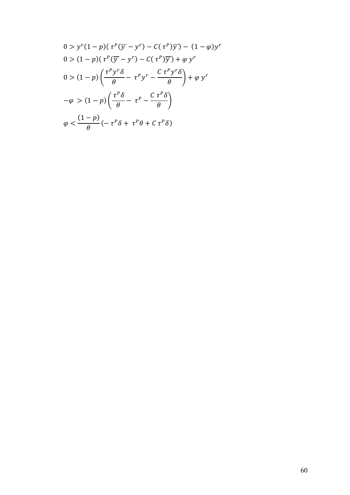$$
0 > y^{r} (1 - p)(\tau^{P} (\overline{y} - y^{r}) - C(\tau^{P} )\overline{y}) - (1 - \varphi) y^{r}
$$
\n
$$
0 > (1 - p)(\tau^{P} (\overline{y} - y^{r}) - C(\tau^{P} )\overline{y}) + \varphi y^{r}
$$
\n
$$
0 > (1 - p) \left( \frac{\tau^{P} y^{r} \delta}{\theta} - \tau^{P} y^{r} - \frac{C \tau^{P} y^{r} \delta}{\theta} \right) + \varphi y^{r}
$$
\n
$$
-\varphi > (1 - p) \left( \frac{\tau^{P} \delta}{\theta} - \tau^{P} - \frac{C \tau^{P} \delta}{\theta} \right)
$$
\n
$$
\varphi < \frac{(1 - p)}{\theta} (-\tau^{P} \delta + \tau^{P} \theta + C \tau^{P} \delta)
$$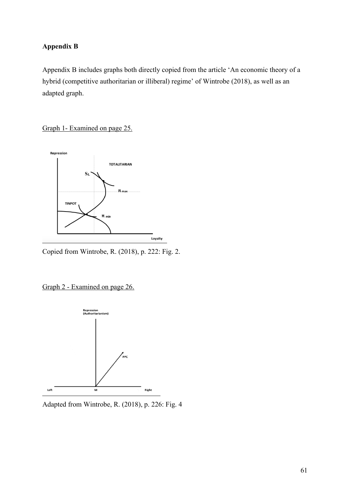# **Appendix B**

Appendix B includes graphs both directly copied from the article 'An economic theory of a hybrid (competitive authoritarian or illiberal) regime' of Wintrobe (2018), as well as an adapted graph.

Graph 1- Examined on page 25.



Copied from Wintrobe, R. (2018), p. 222: Fig. 2.

Graph 2 - Examined on page 26.



Adapted from Wintrobe, R. (2018), p. 226: Fig. 4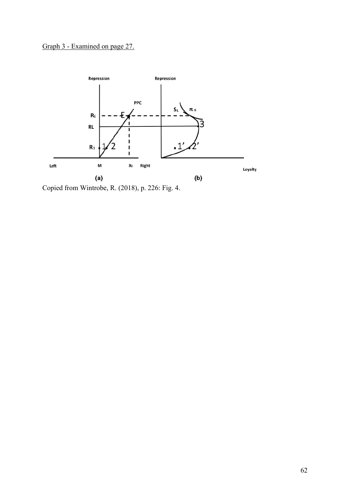# Graph 3 - Examined on page 27.



Copied from Wintrobe, R. (2018), p. 226: Fig. 4.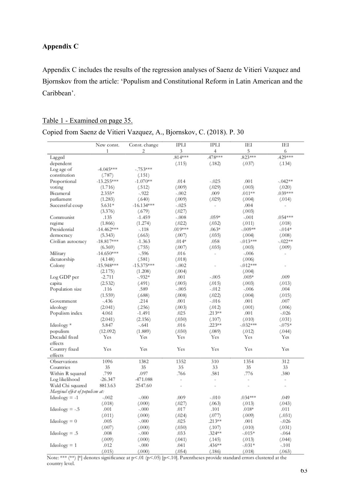# **Appendix C**

Appendix C includes the results of the regression analyses of Saenz de Vitieri Vazquez and Bjornskov from the article: 'Populism and Constitutional Reform in Latin American and the Caribbean'.

# Table 1 - Examined on page 35.

# Copied from Saenz de Vitieri Vazquez, A., Bjornskov, C. (2018). P. 30

|                                 | New const.   | Const. change | IPLI                     | IPLI                     | IEI        | IEI            |
|---------------------------------|--------------|---------------|--------------------------|--------------------------|------------|----------------|
|                                 | 1            | 2             | 3                        | 4                        | 5          | 6              |
| Lagged                          |              |               | $.814***$                | .478***                  | .823***    | .429***        |
| dependent                       |              |               | (.115)                   | (.182)                   | (.037)     | (.134)         |
| Log age of                      | $-4.045***$  | $-.753***$    |                          |                          |            |                |
| constitution                    | (.787)       | (.151)        |                          |                          |            |                |
| Proportional                    | $-13.255***$ | $-1.070**$    | .014                     | $-.025$                  | .001       | $-.042**$      |
| voting                          | (1.716)      | (.512)        | (.009)                   | (.029)                   | (.003)     | (.020)         |
| Bicameral                       | $2.355*$     | $-.922$       | $-.002$                  | .009                     | $.011***$  | $.039***$      |
| parliament                      | (1.283)      | (.640)        | (.009)                   | (.029)                   | (.004)     | (.014)         |
| Successful coup                 | $5.631*$     | $-16.134***$  | $-.025$                  | $\overline{\phantom{a}}$ | .004       |                |
|                                 | (3.376)      | (.679)        | (.027)                   |                          | (.003)     |                |
| Communist                       | .135         | $-1.459$      | $-.008$                  | $.059*$                  | $-.001$    | $.054***$      |
| regime                          | (1.866)      | (1.274)       | (.022)                   | (.032)                   | (.011)     | (.018)         |
| Presidential                    | $-14.462***$ | $-.118$       | $.019***$                | $.063*$                  | $-.009**$  | $-0.014*$      |
| democracy                       | (5.343)      | (.663)        | (.007)                   | (.035)                   | (.004)     | (.008)         |
| Civilian autocracy              | $-18.817***$ | $-1.363$      | $.014*$                  | .058                     | $-0.13***$ | $-.022**$      |
|                                 | (6.369)      | (.755)        | (.007)                   | (.035)                   | (.003)     | (.009)         |
| Military                        | $-14.650***$ | $-.596$       | .016                     | $\overline{\phantom{a}}$ | $-.006$    | $\overline{a}$ |
| dictatorship                    | (4.148)      | (.581)        | (.018)                   |                          | (.006)     |                |
| Colony                          | $-15.948***$ | $-15.375***$  | -.002                    |                          | $-0.12***$ |                |
|                                 | (2.175)      | (1.208)       | (.004)                   |                          | (.004)     |                |
| Log GDP per                     | $-2.711$     | $-.932*$      | .001                     | $-.005$                  | $.005*$    | .009           |
| capita                          | (2.532)      | (.491)        | (.005)                   | (.015)                   | (.003)     | (.013)         |
| Population size                 | .116         | .589          | -.005                    | $-.012$                  | $-.006$    | .004           |
|                                 | (1.559)      | (.688)        | (.008)                   | (.022)                   | (.004)     | (.015)         |
| Government                      | -.436        | .214          | .001                     | $-.016$                  | .001       | .007           |
| ideology                        | (2.041)      | (.256)        | (.003)                   | (.012)                   | (.001)     | (.006)         |
| Populism index                  | 4.061        | $-1.491$      | .025                     | $.213***$                | .001       | $-.026$        |
|                                 | (2.041)      | (2.156)       | (.030)                   | (.107)                   | (.010)     | (.031)         |
| Ideology*                       | 5.847        | -. 641        | .016                     | $.223***$                | $-.032***$ | $-0.075*$      |
| populism                        | (12.092)     | (1.889)       | (.030)                   | (.089)                   | (.012)     | (.044)         |
| Decadal fixed                   | Yes          | Yes           | Yes                      | Yes                      | Yes        | Yes            |
| effects                         |              |               |                          |                          |            |                |
| Country fixed                   | Yes          | Yes           | Yes                      | Yes                      | Yes        | Yes            |
| effects                         |              |               |                          |                          |            |                |
| Observations                    | 1096         | 1382          | 1352                     | 310                      | 1354       | 312            |
| Countries                       | 35           | 35            | 35                       | 33                       | 35         | 33             |
| Within R squared                | .799         | .097          | .766                     | .581                     | .776       | .380           |
| Log likelihood                  | $-26.347$    | -471.088      | $\overline{\phantom{a}}$ | $\sim$                   |            | ٠              |
| Wald Chi squared                | 8813.63      | 2547.60       | $\overline{\phantom{a}}$ |                          |            |                |
| Marginal effect of populism at: |              |               |                          |                          |            |                |
| $Ideology = -1$                 | $-.002$      | $-.000$       | .009                     | $-.010$                  | $.034***$  | .049           |
|                                 | (.018)       | (.000)        | (.027)                   | (.063)                   | (.013)     | (.043)         |
| $Ideology = -.5$                | .001         | $-.000$       | .017                     | .101                     | $.018*$    | .011           |
|                                 | (.011)       | (.000)        | (.024)                   | (.077)                   | (.009)     | (.031)         |
| $Ideology = 0$                  | .005         | $-.000$       | .025                     | $.213***$                | .001       | $-.026$        |
|                                 | (.007)       | (.000)        | (.030)                   | (.107)                   | (.010)     | (.031)         |
| $Ideology = .5$                 | .008         | $-.000$       | .033                     | $.324***$                | $-0.015*$  | $-.064$        |
|                                 | (.009)       | (.000)        | (.041)                   | (.145)                   | (.013)     | (.044)         |
| $Ideology = 1$                  | .012         | $-.000$       | .041                     | .436**                   | $-.031*$   | -.101          |
|                                 | (.015)       | (.000)        | (.054)                   | (.186)                   | (.018)     | (.063)         |

Note: \*\*\* (\*\*) [\*] denotes significance at p<.01 (p<.05) [p<.10]. Parentheses provide standard errors clustered at the country level.